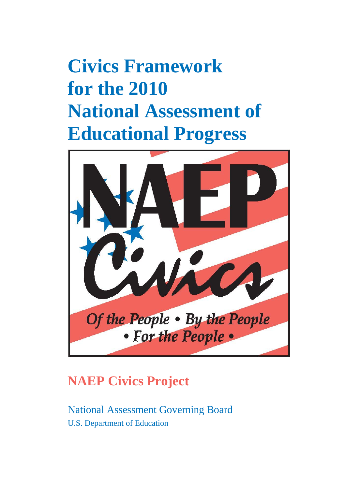# **Civics Framework for the 2010 National Assessment of Educational Progress**



# **NAEP Civics Project**

National Assessment Governing Board U.S. Department of Education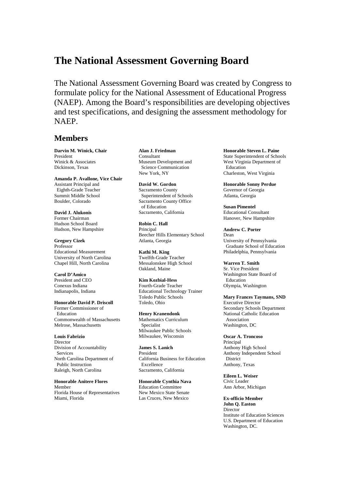## **The National Assessment Governing Board**

The National Assessment Governing Board was created by Congress to formulate policy for the National Assessment of Educational Progress (NAEP). Among the Board's responsibilities are developing objectives and test specifications, and designing the assessment methodology for NAEP.

#### **Members**

**Darvin M. Winick, Chair**  President Winick & Associates Dickinson, Texas

**Amanda P. Avallone, Vice Chair** Assistant Principal and Eighth-Grade Teacher Summit Middle School Boulder, Colorado

**David J. Alukonis**  Former Chairman Hudson School Board Hudson, New Hampshire

**Gregory Cizek** Professor Educational Measurement University of North Carolina Chapel Hill, North Carolina

**Carol D'Amico** President and CEO Conexus Indiana Indianapolis, Indiana

**Honorable David P. Driscoll** Former Commissioner of Education Commonwealth of Massachusetts Melrose, Massachusetts

**Louis Fabrizio Director** Division of Accountability Services North Carolina Department of Public Instruction Raleigh, North Carolina

**Honorable Anitere Flores** Member Florida House of Representatives Miami, Florida

**Alan J. Friedman** Consultant Museum Development and Science Communication New York, NY

**David W. Gordon**  Sacramento County Superintendent of Schools Sacramento County Office of Education Sacramento, California

**Robin C. Hall** Principal Beecher Hills Elementary School Atlanta, Georgia

**Kathi M. King**  Twelfth-Grade Teacher Messalonskee High School Oakland, Maine

**Kim Kozbial-Hess**  Fourth-Grade Teacher Educational Technology Trainer Toledo Public Schools

**Henry Kranendonk** Mathematics Curriculum Specialist Milwaukee Public Schools Milwaukee, Wisconsin

Toledo, Ohio

**James S. Lanich** President California Business for Education Excellence Sacramento, California

**Honorable Cynthia Nava** Education Committee New Mexico State Senate Las Cruces, New Mexico

**Honorable Steven L. Paine** State Superintendent of Schools West Virginia Department of Education Charleston, West Virginia

**Honorable Sonny Perdue** Governor of Georgia Atlanta, Georgia

**Susan Pimentel** Educational Consultant Hanover, New Hampshire

**Andrew C. Porter**  Dean University of Pennsylvania Graduate School of Education Philadelphia, Pennsylvania

**Warren T. Smith** Sr. Vice President Washington State Board of Education Olympia, Washington

**Mary Frances Taymans, SND**  Executive Director Secondary Schools Department National Catholic Education Association Washington, DC

**Oscar A. Troncoso** Principal Anthony High School Anthony Independent School **District** Anthony, Texas

**Eileen L. Weiser**  Civic Leader Ann Arbor, Michigan

**Ex-officio Member John Q. Easton Director** Institute of Education Sciences U.S. Department of Education Washington, DC.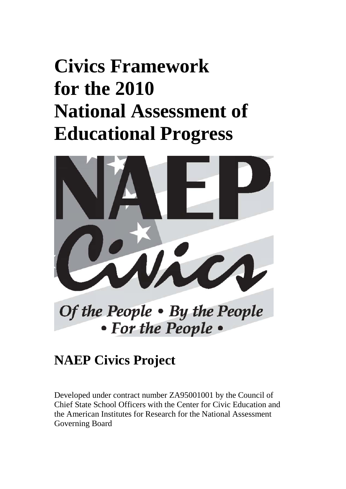# **Civics Framework for the 2010 National Assessment of Educational Progress**



Of the People • By the People • For the People •

# **NAEP Civics Project**

Developed under contract number ZA95001001 by the Council of Chief State School Officers with the Center for Civic Education and the American Institutes for Research for the National Assessment Governing Board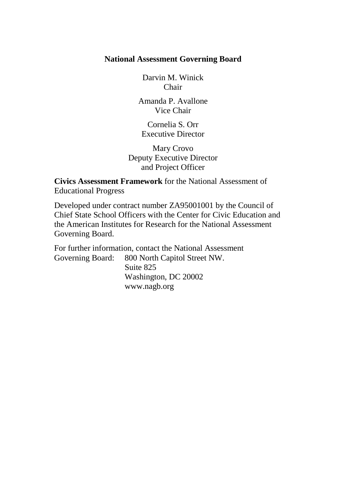#### **National Assessment Governing Board**

Darvin M. Winick Chair

Amanda P. Avallone Vice Chair

Cornelia S. Orr Executive Director

Mary Crovo Deputy Executive Director and Project Officer

**Civics Assessment Framework** for the National Assessment of Educational Progress

Developed under contract number ZA95001001 by the Council of Chief State School Officers with the Center for Civic Education and the American Institutes for Research for the National Assessment Governing Board.

For further information, contact the National Assessment<br>Governing Board: 800 North Capitol Street NW. 800 North Capitol Street NW. Suite 825 Washington, DC 20002 www.nagb.org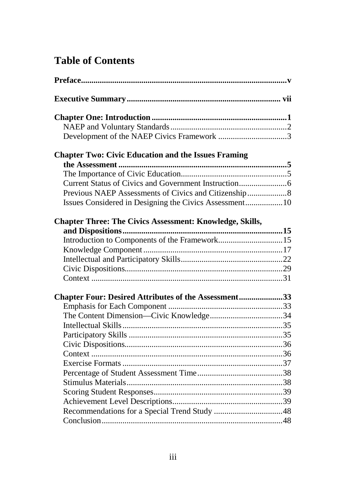# **Table of Contents**

| <b>Chapter Two: Civic Education and the Issues Framing</b>      |  |
|-----------------------------------------------------------------|--|
|                                                                 |  |
|                                                                 |  |
|                                                                 |  |
|                                                                 |  |
|                                                                 |  |
| <b>Chapter Three: The Civics Assessment: Knowledge, Skills,</b> |  |
|                                                                 |  |
| Introduction to Components of the Framework15                   |  |
|                                                                 |  |
|                                                                 |  |
|                                                                 |  |
|                                                                 |  |
| Chapter Four: Desired Attributes of the Assessment33            |  |
|                                                                 |  |
|                                                                 |  |
|                                                                 |  |
|                                                                 |  |
|                                                                 |  |
|                                                                 |  |
|                                                                 |  |
|                                                                 |  |
|                                                                 |  |
|                                                                 |  |
|                                                                 |  |
|                                                                 |  |
|                                                                 |  |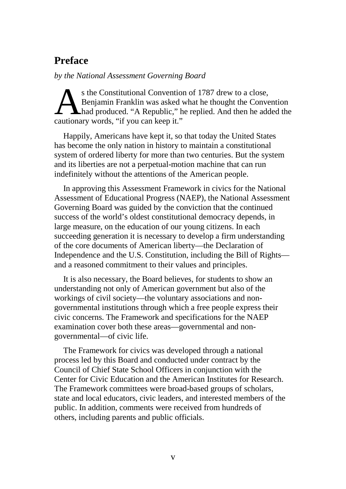# <span id="page-6-0"></span>**Preface**

*by the National Assessment Governing Board* 

s the Constitutional Convention of 1787 drew to a close, Benjamin Franklin was asked what he thought the Convention had produced. "A Republic," he replied. And then he added the S the Constitutional Convention<br>Benjamin Franklin was asked v<br>had produced. "A Republic," h<br>cautionary words, "if you can keep it."

Happily, Americans have kept it, so that today the United States has become the only nation in history to maintain a constitutional system of ordered liberty for more than two centuries. But the system and its liberties are not a perpetual-motion machine that can run indefinitely without the attentions of the American people.

In approving this Assessment Framework in civics for the National Assessment of Educational Progress (NAEP), the National Assessment Governing Board was guided by the conviction that the continued success of the world's oldest constitutional democracy depends, in large measure, on the education of our young citizens. In each succeeding generation it is necessary to develop a firm understanding of the core documents of American liberty—the Declaration of Independence and the U.S. Constitution, including the Bill of Rights and a reasoned commitment to their values and principles.

It is also necessary, the Board believes, for students to show an understanding not only of American government but also of the workings of civil society—the voluntary associations and nongovernmental institutions through which a free people express their civic concerns. The Framework and specifications for the NAEP examination cover both these areas—governmental and nongovernmental—of civic life.

The Framework for civics was developed through a national process led by this Board and conducted under contract by the Council of Chief State School Officers in conjunction with the Center for Civic Education and the American Institutes for Research. The Framework committees were broad-based groups of scholars, state and local educators, civic leaders, and interested members of the public. In addition, comments were received from hundreds of others, including parents and public officials.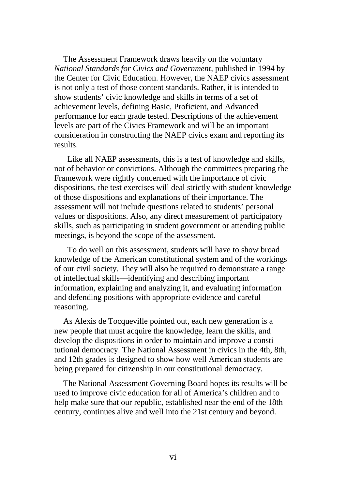The Assessment Framework draws heavily on the voluntary *National Standards for Civics and Government,* published in 1994 by the Center for Civic Education. However, the NAEP civics assessment is not only a test of those content standards. Rather, it is intended to show students' civic knowledge and skills in terms of a set of achievement levels, defining Basic, Proficient, and Advanced performance for each grade tested. Descriptions of the achievement levels are part of the Civics Framework and will be an important consideration in constructing the NAEP civics exam and reporting its results.

Like all NAEP assessments, this is a test of knowledge and skills, not of behavior or convictions. Although the committees preparing the Framework were rightly concerned with the importance of civic dispositions, the test exercises will deal strictly with student knowledge of those dispositions and explanations of their importance. The assessment will not include questions related to students' personal values or dispositions. Also, any direct measurement of participatory skills, such as participating in student government or attending public meetings, is beyond the scope of the assessment.

To do well on this assessment, students will have to show broad knowledge of the American constitutional system and of the workings of our civil society. They will also be required to demonstrate a range of intellectual skills—identifying and describing important information, explaining and analyzing it, and evaluating information and defending positions with appropriate evidence and careful reasoning.

As Alexis de Tocqueville pointed out, each new generation is a new people that must acquire the knowledge, learn the skills, and develop the dispositions in order to maintain and improve a constitutional democracy. The National Assessment in civics in the 4th, 8th, and 12th grades is designed to show how well American students are being prepared for citizenship in our constitutional democracy.

The National Assessment Governing Board hopes its results will be used to improve civic education for all of America's children and to help make sure that our republic, established near the end of the 18th century, continues alive and well into the 21st century and beyond.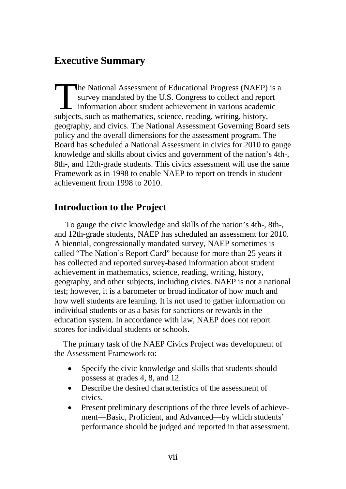# <span id="page-8-0"></span>**Executive Summary**

he National Assessment of Educational Progress (NAEP) is a survey mandated by the U.S. Congress to collect and report information about student achievement in various academic The National Assessment of Educational Progress (NAEP) survey mandated by the U.S. Congress to collect and repo<br>information about student achievement in various academ<br>subjects, such as mathematics, science, reading, writi geography, and civics. The National Assessment Governing Board sets policy and the overall dimensions for the assessment program. The Board has scheduled a National Assessment in civics for 2010 to gauge knowledge and skills about civics and government of the nation's 4th-, 8th-, and 12th-grade students. This civics assessment will use the same Framework as in 1998 to enable NAEP to report on trends in student achievement from 1998 to 2010.

# **Introduction to the Project**

To gauge the civic knowledge and skills of the nation's 4th-, 8th-, and 12th-grade students, NAEP has scheduled an assessment for 2010. A biennial, congressionally mandated survey, NAEP sometimes is called "The Nation's Report Card" because for more than 25 years it has collected and reported survey-based information about student achievement in mathematics, science, reading, writing, history, geography, and other subjects, including civics. NAEP is not a national test; however, it is a barometer or broad indicator of how much and how well students are learning. It is not used to gather information on individual students or as a basis for sanctions or rewards in the education system. In accordance with law, NAEP does not report scores for individual students or schools.

The primary task of the NAEP Civics Project was development of the Assessment Framework to:

- Specify the civic knowledge and skills that students should possess at grades 4, 8, and 12.
- Describe the desired characteristics of the assessment of civics.
- Present preliminary descriptions of the three levels of achievement—Basic, Proficient, and Advanced—by which students' performance should be judged and reported in that assessment.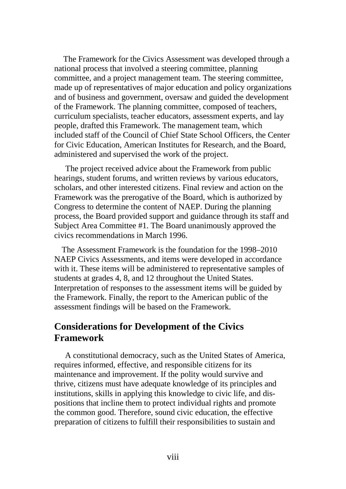The Framework for the Civics Assessment was developed through a national process that involved a steering committee, planning committee, and a project management team. The steering committee, made up of representatives of major education and policy organizations and of business and government, oversaw and guided the development of the Framework. The planning committee, composed of teachers, curriculum specialists, teacher educators, assessment experts, and lay people, drafted this Framework. The management team, which included staff of the Council of Chief State School Officers, the Center for Civic Education, American Institutes for Research, and the Board, administered and supervised the work of the project.

The project received advice about the Framework from public hearings, student forums, and written reviews by various educators, scholars, and other interested citizens. Final review and action on the Framework was the prerogative of the Board, which is authorized by Congress to determine the content of NAEP. During the planning process, the Board provided support and guidance through its staff and Subject Area Committee #1. The Board unanimously approved the civics recommendations in March 1996.

The Assessment Framework is the foundation for the 1998–2010 NAEP Civics Assessments, and items were developed in accordance with it. These items will be administered to representative samples of students at grades 4, 8, and 12 throughout the United States. Interpretation of responses to the assessment items will be guided by the Framework. Finally, the report to the American public of the assessment findings will be based on the Framework.

#### **Considerations for Development of the Civics Framework**

A constitutional democracy, such as the United States of America, requires informed, effective, and responsible citizens for its maintenance and improvement. If the polity would survive and thrive, citizens must have adequate knowledge of its principles and institutions, skills in applying this knowledge to civic life, and dispositions that incline them to protect individual rights and promote the common good. Therefore, sound civic education, the effective preparation of citizens to fulfill their responsibilities to sustain and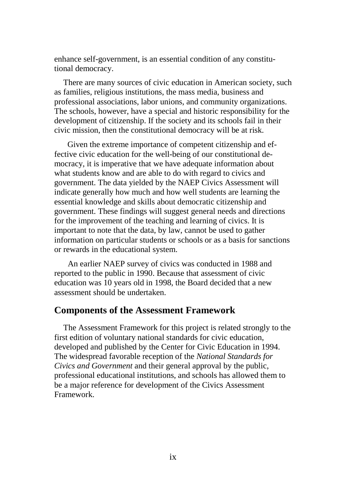enhance self-government, is an essential condition of any constitutional democracy.

There are many sources of civic education in American society, such as families, religious institutions, the mass media, business and professional associations, labor unions, and community organizations. The schools, however, have a special and historic responsibility for the development of citizenship. If the society and its schools fail in their civic mission, then the constitutional democracy will be at risk.

Given the extreme importance of competent citizenship and effective civic education for the well-being of our constitutional democracy, it is imperative that we have adequate information about what students know and are able to do with regard to civics and government. The data yielded by the NAEP Civics Assessment will indicate generally how much and how well students are learning the essential knowledge and skills about democratic citizenship and government. These findings will suggest general needs and directions for the improvement of the teaching and learning of civics. It is important to note that the data, by law, cannot be used to gather information on particular students or schools or as a basis for sanctions or rewards in the educational system.

An earlier NAEP survey of civics was conducted in 1988 and reported to the public in 1990. Because that assessment of civic education was 10 years old in 1998, the Board decided that a new assessment should be undertaken.

#### **Components of the Assessment Framework**

The Assessment Framework for this project is related strongly to the first edition of voluntary national standards for civic education, developed and published by the Center for Civic Education in 1994. The widespread favorable reception of the *National Standards for Civics and Government* and their general approval by the public, professional educational institutions, and schools has allowed them to be a major reference for development of the Civics Assessment Framework.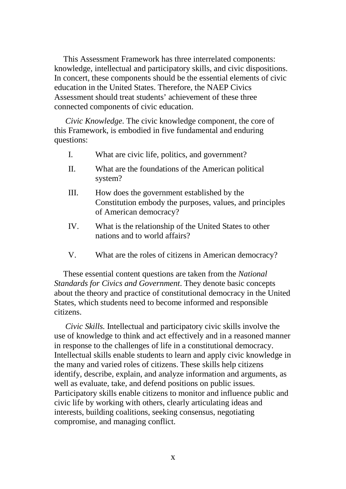This Assessment Framework has three interrelated components: knowledge, intellectual and participatory skills, and civic dispositions. In concert, these components should be the essential elements of civic education in the United States. Therefore, the NAEP Civics Assessment should treat students' achievement of these three connected components of civic education.

*Civic Knowledge.* The civic knowledge component, the core of this Framework, is embodied in five fundamental and enduring questions:

- I. What are civic life, politics, and government?
- II. What are the foundations of the American political system?
- III. How does the government established by the Constitution embody the purposes, values, and principles of American democracy?
- IV. What is the relationship of the United States to other nations and to world affairs?
- V. What are the roles of citizens in American democracy?

These essential content questions are taken from the *National Standards for Civics and Government*. They denote basic concepts about the theory and practice of constitutional democracy in the United States, which students need to become informed and responsible citizens.

*Civic Skills.* Intellectual and participatory civic skills involve the use of knowledge to think and act effectively and in a reasoned manner in response to the challenges of life in a constitutional democracy. Intellectual skills enable students to learn and apply civic knowledge in the many and varied roles of citizens. These skills help citizens identify, describe, explain, and analyze information and arguments, as well as evaluate, take, and defend positions on public issues. Participatory skills enable citizens to monitor and influence public and civic life by working with others, clearly articulating ideas and interests, building coalitions, seeking consensus, negotiating compromise, and managing conflict.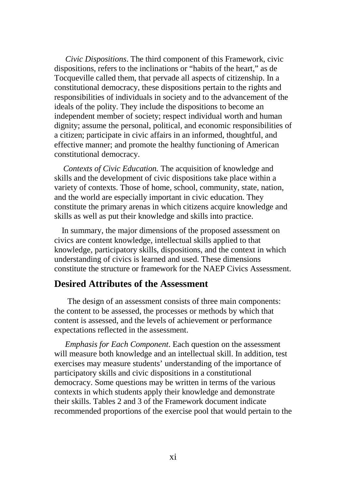*Civic Dispositions*. The third component of this Framework, civic dispositions, refers to the inclinations or "habits of the heart," as de Tocqueville called them, that pervade all aspects of citizenship. In a constitutional democracy, these dispositions pertain to the rights and responsibilities of individuals in society and to the advancement of the ideals of the polity. They include the dispositions to become an independent member of society; respect individual worth and human dignity; assume the personal, political, and economic responsibilities of a citizen; participate in civic affairs in an informed, thoughtful, and effective manner; and promote the healthy functioning of American constitutional democracy.

*Contexts of Civic Education.* The acquisition of knowledge and skills and the development of civic dispositions take place within a variety of contexts. Those of home, school, community, state, nation, and the world are especially important in civic education. They constitute the primary arenas in which citizens acquire knowledge and skills as well as put their knowledge and skills into practice.

In summary, the major dimensions of the proposed assessment on civics are content knowledge, intellectual skills applied to that knowledge, participatory skills, dispositions, and the context in which understanding of civics is learned and used. These dimensions constitute the structure or framework for the NAEP Civics Assessment.

#### **Desired Attributes of the Assessment**

The design of an assessment consists of three main components: the content to be assessed, the processes or methods by which that content is assessed, and the levels of achievement or performance expectations reflected in the assessment.

*Emphasis for Each Component*. Each question on the assessment will measure both knowledge and an intellectual skill. In addition, test exercises may measure students' understanding of the importance of participatory skills and civic dispositions in a constitutional democracy. Some questions may be written in terms of the various contexts in which students apply their knowledge and demonstrate their skills. Tables 2 and 3 of the Framework document indicate recommended proportions of the exercise pool that would pertain to the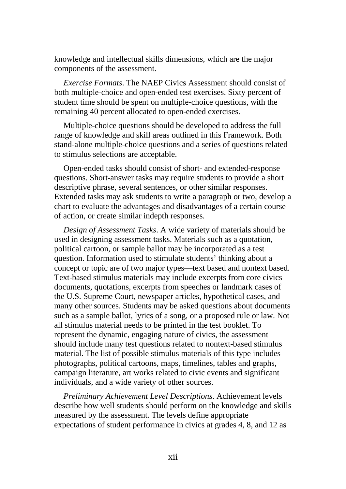knowledge and intellectual skills dimensions, which are the major components of the assessment.

*Exercise Formats*. The NAEP Civics Assessment should consist of both multiple-choice and open-ended test exercises. Sixty percent of student time should be spent on multiple-choice questions, with the remaining 40 percent allocated to open-ended exercises.

Multiple-choice questions should be developed to address the full range of knowledge and skill areas outlined in this Framework. Both stand-alone multiple-choice questions and a series of questions related to stimulus selections are acceptable.

Open-ended tasks should consist of short- and extended-response questions. Short-answer tasks may require students to provide a short descriptive phrase, several sentences, or other similar responses. Extended tasks may ask students to write a paragraph or two, develop a chart to evaluate the advantages and disadvantages of a certain course of action, or create similar indepth responses.

*Design of Assessment Tasks*. A wide variety of materials should be used in designing assessment tasks. Materials such as a quotation, political cartoon, or sample ballot may be incorporated as a test question. Information used to stimulate students' thinking about a concept or topic are of two major types—text based and nontext based. Text-based stimulus materials may include excerpts from core civics documents, quotations, excerpts from speeches or landmark cases of the U.S. Supreme Court, newspaper articles, hypothetical cases, and many other sources. Students may be asked questions about documents such as a sample ballot, lyrics of a song, or a proposed rule or law. Not all stimulus material needs to be printed in the test booklet. To represent the dynamic, engaging nature of civics, the assessment should include many test questions related to nontext-based stimulus material. The list of possible stimulus materials of this type includes photographs, political cartoons, maps, timelines, tables and graphs, campaign literature, art works related to civic events and significant individuals, and a wide variety of other sources.

*Preliminary Achievement Level Descriptions*. Achievement levels describe how well students should perform on the knowledge and skills measured by the assessment. The levels define appropriate expectations of student performance in civics at grades 4, 8, and 12 as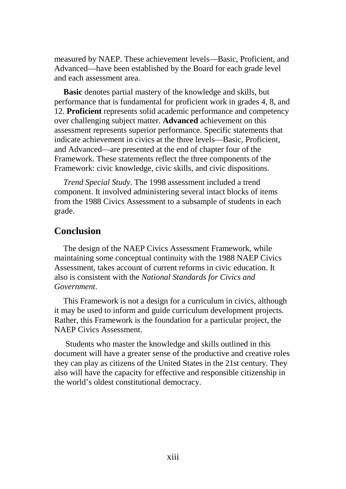measured by NAEP. These achievement levels—Basic, Proficient, and Advanced—have been established by the Board for each grade level and each assessment area.

**Basic** denotes partial mastery of the knowledge and skills, but performance that is fundamental for proficient work in grades 4, 8, and 12. **Proficient** represents solid academic performance and competency over challenging subject matter. **Advanced** achievement on this assessment represents superior performance. Specific statements that indicate achievement in civics at the three levels—Basic, Proficient, and Advanced—are presented at the end of chapter four of the Framework. These statements reflect the three components of the Framework: civic knowledge, civic skills, and civic dispositions.

*Trend Special Study*. The 1998 assessment included a trend component. It involved administering several intact blocks of items from the 1988 Civics Assessment to a subsample of students in each grade.

#### **Conclusion**

The design of the NAEP Civics Assessment Framework, while maintaining some conceptual continuity with the 1988 NAEP Civics Assessment, takes account of current reforms in civic education. It also is consistent with the *National Standards for Civics and Government*.

This Framework is not a design for a curriculum in civics, although it may be used to inform and guide curriculum development projects. Rather, this Framework is the foundation for a particular project, the NAEP Civics Assessment.

Students who master the knowledge and skills outlined in this document will have a greater sense of the productive and creative roles they can play as citizens of the United States in the 21st century. They also will have the capacity for effective and responsible citizenship in the world's oldest constitutional democracy.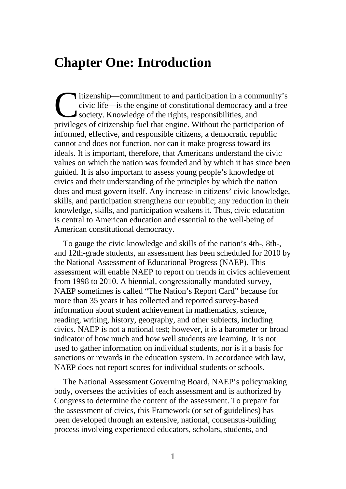<span id="page-15-0"></span>itizenship—commitment to and participation in a community's civic life—is the engine of constitutional democracy and a free society. Knowledge of the rights, responsibilities, and itizenship—commitment to and participation in a community's<br>civic life—is the engine of constitutional democracy and a free<br>society. Knowledge of the rights, responsibilities, and<br>privileges of citizenship fuel that engine informed, effective, and responsible citizens, a democratic republic cannot and does not function, nor can it make progress toward its ideals. It is important, therefore, that Americans understand the civic values on which the nation was founded and by which it has since been guided. It is also important to assess young people's knowledge of civics and their understanding of the principles by which the nation does and must govern itself. Any increase in citizens' civic knowledge, skills, and participation strengthens our republic; any reduction in their knowledge, skills, and participation weakens it. Thus, civic education is central to American education and essential to the well-being of American constitutional democracy.

To gauge the civic knowledge and skills of the nation's 4th-, 8th-, and 12th-grade students, an assessment has been scheduled for 2010 by the National Assessment of Educational Progress (NAEP). This assessment will enable NAEP to report on trends in civics achievement from 1998 to 2010. A biennial, congressionally mandated survey, NAEP sometimes is called "The Nation's Report Card" because for more than 35 years it has collected and reported survey-based information about student achievement in mathematics, science, reading, writing, history, geography, and other subjects, including civics. NAEP is not a national test; however, it is a barometer or broad indicator of how much and how well students are learning. It is not used to gather information on individual students, nor is it a basis for sanctions or rewards in the education system. In accordance with law, NAEP does not report scores for individual students or schools.

The National Assessment Governing Board, NAEP's policymaking body, oversees the activities of each assessment and is authorized by Congress to determine the content of the assessment. To prepare for the assessment of civics, this Framework (or set of guidelines) has been developed through an extensive, national, consensus-building process involving experienced educators, scholars, students, and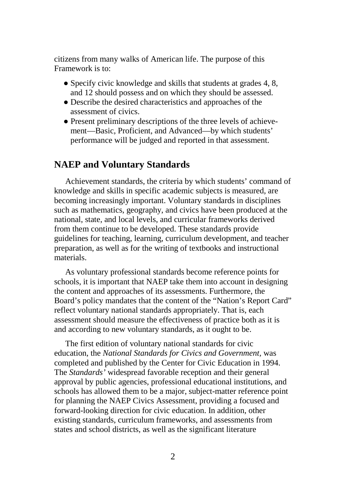citizens from many walks of American life. The purpose of this Framework is to:

- Specify civic knowledge and skills that students at grades  $4, 8$ , and 12 should possess and on which they should be assessed.
- Describe the desired characteristics and approaches of the assessment of civics.
- Present preliminary descriptions of the three levels of achievement—Basic, Proficient, and Advanced—by which students' performance will be judged and reported in that assessment.

#### <span id="page-16-0"></span>**NAEP and Voluntary Standards**

Achievement standards, the criteria by which students' command of knowledge and skills in specific academic subjects is measured, are becoming increasingly important. Voluntary standards in disciplines such as mathematics, geography, and civics have been produced at the national, state, and local levels, and curricular frameworks derived from them continue to be developed. These standards provide guidelines for teaching, learning, curriculum development, and teacher preparation, as well as for the writing of textbooks and instructional materials.

As voluntary professional standards become reference points for schools, it is important that NAEP take them into account in designing the content and approaches of its assessments. Furthermore, the Board's policy mandates that the content of the "Nation's Report Card" reflect voluntary national standards appropriately. That is, each assessment should measure the effectiveness of practice both as it is and according to new voluntary standards, as it ought to be.

The first edition of voluntary national standards for civic education, the *National Standards for Civics and Government,* was completed and published by the Center for Civic Education in 1994. The *Standards'* widespread favorable reception and their general approval by public agencies, professional educational institutions, and schools has allowed them to be a major, subject-matter reference point for planning the NAEP Civics Assessment, providing a focused and forward-looking direction for civic education. In addition, other existing standards, curriculum frameworks, and assessments from states and school districts, as well as the significant literature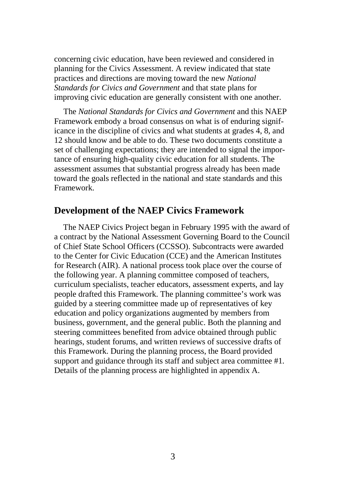concerning civic education, have been reviewed and considered in planning for the Civics Assessment. A review indicated that state practices and directions are moving toward the new *National Standards for Civics and Government* and that state plans for improving civic education are generally consistent with one another.

The *National Standards for Civics and Government* and this NAEP Framework embody a broad consensus on what is of enduring significance in the discipline of civics and what students at grades 4, 8, and 12 should know and be able to do. These two documents constitute a set of challenging expectations; they are intended to signal the importance of ensuring high-quality civic education for all students. The assessment assumes that substantial progress already has been made toward the goals reflected in the national and state standards and this Framework.

#### <span id="page-17-0"></span>**Development of the NAEP Civics Framework**

The NAEP Civics Project began in February 1995 with the award of a contract by the National Assessment Governing Board to the Council of Chief State School Officers (CCSSO). Subcontracts were awarded to the Center for Civic Education (CCE) and the American Institutes for Research (AIR). A national process took place over the course of the following year. A planning committee composed of teachers, curriculum specialists, teacher educators, assessment experts, and lay people drafted this Framework. The planning committee's work was guided by a steering committee made up of representatives of key education and policy organizations augmented by members from business, government, and the general public. Both the planning and steering committees benefited from advice obtained through public hearings, student forums, and written reviews of successive drafts of this Framework. During the planning process, the Board provided support and guidance through its staff and subject area committee #1. Details of the planning process are highlighted in appendix A.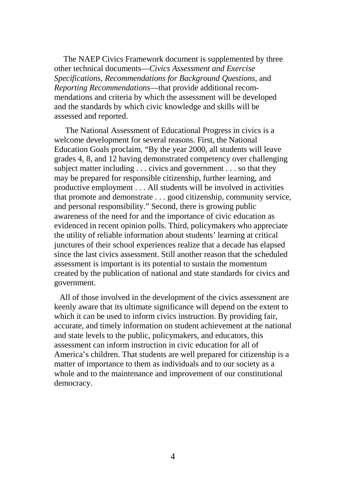The NAEP Civics Framework document is supplemented by three other technical documents—*Civics Assessment and Exercise Specifications, Recommendations for Background Questions,* and *Reporting Recommendations*—that provide additional recommendations and criteria by which the assessment will be developed and the standards by which civic knowledge and skills will be assessed and reported.

The National Assessment of Educational Progress in civics is a welcome development for several reasons. First, the National Education Goals proclaim, "By the year 2000, all students will leave grades 4, 8, and 12 having demonstrated competency over challenging subject matter including . . . civics and government . . . so that they may be prepared for responsible citizenship, further learning, and productive employment . . . All students will be involved in activities that promote and demonstrate . . . good citizenship, community service, and personal responsibility." Second, there is growing public awareness of the need for and the importance of civic education as evidenced in recent opinion polls. Third, policymakers who appreciate the utility of reliable information about students' learning at critical junctures of their school experiences realize that a decade has elapsed since the last civics assessment. Still another reason that the scheduled assessment is important is its potential to sustain the momentum created by the publication of national and state standards for civics and government.

All of those involved in the development of the civics assessment are keenly aware that its ultimate significance will depend on the extent to which it can be used to inform civics instruction. By providing fair, accurate, and timely information on student achievement at the national and state levels to the public, policymakers, and educators, this assessment can inform instruction in civic education for all of America's children. That students are well prepared for citizenship is a matter of importance to them as individuals and to our society as a whole and to the maintenance and improvement of our constitutional democracy.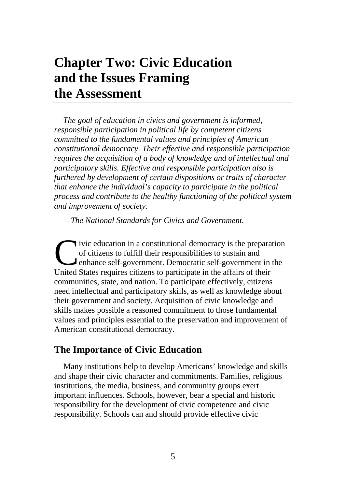# <span id="page-19-0"></span>**Chapter Two: Civic Education and the Issues Framing the Assessment**

*The goal of education in civics and government is informed, responsible participation in political life by competent citizens committed to the fundamental values and principles of American constitutional democracy. Their effective and responsible participation requires the acquisition of a body of knowledge and of intellectual and participatory skills. Effective and responsible participation also is furthered by development of certain dispositions or traits of character that enhance the individual's capacity to participate in the political process and contribute to the healthy functioning of the political system and improvement of society.* 

*—The National Standards for Civics and Government.* 

ivic education in a constitutional democracy is the preparation of citizens to fulfill their responsibilities to sustain and enhance self-government. Democratic self-government in the Ivic education in a constitutional democracy is the prepara of citizens to fulfill their responsibilities to sustain and enhance self-government. Democratic self-government in United States requires citizens to participate communities, state, and nation. To participate effectively, citizens need intellectual and participatory skills, as well as knowledge about their government and society. Acquisition of civic knowledge and skills makes possible a reasoned commitment to those fundamental values and principles essential to the preservation and improvement of American constitutional democracy.

#### <span id="page-19-1"></span>**The Importance of Civic Education**

Many institutions help to develop Americans' knowledge and skills and shape their civic character and commitments. Families, religious institutions, the media, business, and community groups exert important influences. Schools, however, bear a special and historic responsibility for the development of civic competence and civic responsibility. Schools can and should provide effective civic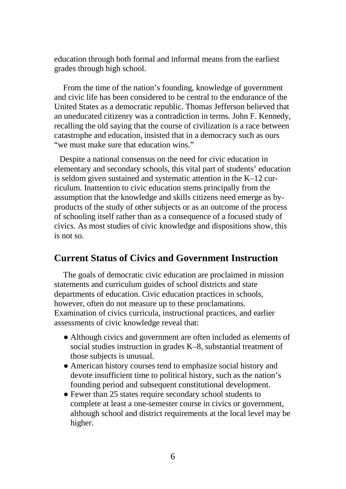education through both formal and informal means from the earliest grades through high school.

From the time of the nation's founding, knowledge of government and civic life has been considered to be central to the endurance of the United States as a democratic republic. Thomas Jefferson believed that an uneducated citizenry was a contradiction in terms. John F. Kennedy, recalling the old saying that the course of civilization is a race between catastrophe and education, insisted that in a democracy such as ours "we must make sure that education wins."

Despite a national consensus on the need for civic education in elementary and secondary schools, this vital part of students' education is seldom given sustained and systematic attention in the K–12 curriculum. Inattention to civic education stems principally from the assumption that the knowledge and skills citizens need emerge as byproducts of the study of other subjects or as an outcome of the process of schooling itself rather than as a consequence of a focused study of civics. As most studies of civic knowledge and dispositions show, this is not so.

#### <span id="page-20-0"></span>**Current Status of Civics and Government Instruction**

The goals of democratic civic education are proclaimed in mission statements and curriculum guides of school districts and state departments of education. Civic education practices in schools, however, often do not measure up to these proclamations. Examination of civics curricula, instructional practices, and earlier assessments of civic knowledge reveal that:

- Although civics and government are often included as elements of social studies instruction in grades K–8, substantial treatment of those subjects is unusual.
- American history courses tend to emphasize social history and devote insufficient time to political history, such as the nation's founding period and subsequent constitutional development.
- Fewer than 25 states require secondary school students to complete at least a one-semester course in civics or government, although school and district requirements at the local level may be higher.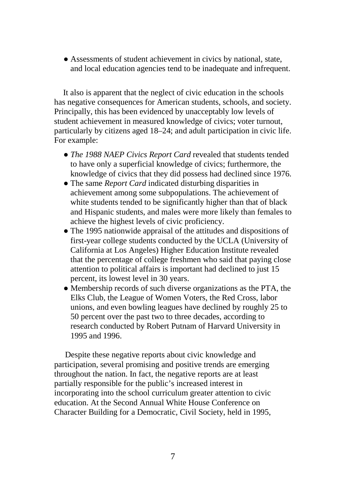● Assessments of student achievement in civics by national, state, and local education agencies tend to be inadequate and infrequent.

It also is apparent that the neglect of civic education in the schools has negative consequences for American students, schools, and society. Principally, this has been evidenced by unacceptably low levels of student achievement in measured knowledge of civics; voter turnout, particularly by citizens aged 18–24; and adult participation in civic life. For example:

- *The 1988 NAEP Civics Report Card* revealed that students tended to have only a superficial knowledge of civics; furthermore, the knowledge of civics that they did possess had declined since 1976.
- The same *Report Card* indicated disturbing disparities in achievement among some subpopulations. The achievement of white students tended to be significantly higher than that of black and Hispanic students, and males were more likely than females to achieve the highest levels of civic proficiency.
- The 1995 nationwide appraisal of the attitudes and dispositions of first-year college students conducted by the UCLA (University of California at Los Angeles) Higher Education Institute revealed that the percentage of college freshmen who said that paying close attention to political affairs is important had declined to just 15 percent, its lowest level in 30 years.
- Membership records of such diverse organizations as the PTA, the Elks Club, the League of Women Voters, the Red Cross, labor unions, and even bowling leagues have declined by roughly 25 to 50 percent over the past two to three decades, according to research conducted by Robert Putnam of Harvard University in 1995 and 1996.

Despite these negative reports about civic knowledge and participation, several promising and positive trends are emerging throughout the nation. In fact, the negative reports are at least partially responsible for the public's increased interest in incorporating into the school curriculum greater attention to civic education. At the Second Annual White House Conference on Character Building for a Democratic, Civil Society, held in 1995,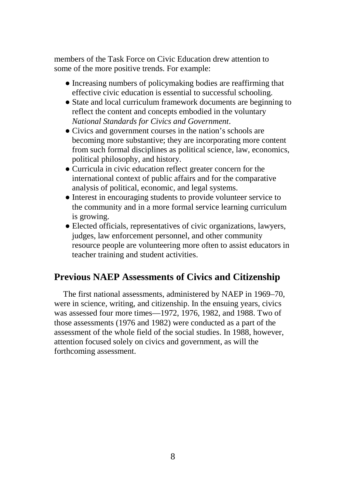members of the Task Force on Civic Education drew attention to some of the more positive trends. For example:

- Increasing numbers of policymaking bodies are reaffirming that effective civic education is essential to successful schooling.
- State and local curriculum framework documents are beginning to reflect the content and concepts embodied in the voluntary *National Standards for Civics and Government*.
- Civics and government courses in the nation's schools are becoming more substantive; they are incorporating more content from such formal disciplines as political science, law, economics, political philosophy, and history.
- Curricula in civic education reflect greater concern for the international context of public affairs and for the comparative analysis of political, economic, and legal systems.
- Interest in encouraging students to provide volunteer service to the community and in a more formal service learning curriculum is growing.
- Elected officials, representatives of civic organizations, lawyers, judges, law enforcement personnel, and other community resource people are volunteering more often to assist educators in teacher training and student activities.

# <span id="page-22-0"></span>**Previous NAEP Assessments of Civics and Citizenship**

The first national assessments, administered by NAEP in 1969–70, were in science, writing, and citizenship. In the ensuing years, civics was assessed four more times—1972, 1976, 1982, and 1988. Two of those assessments (1976 and 1982) were conducted as a part of the assessment of the whole field of the social studies. In 1988, however, attention focused solely on civics and government, as will the forthcoming assessment.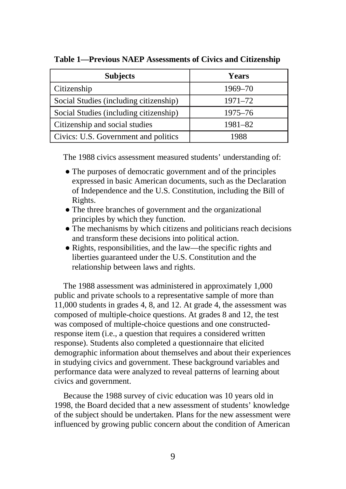| <b>Subjects</b>                        | <b>Years</b> |
|----------------------------------------|--------------|
| Citizenship                            | 1969–70      |
| Social Studies (including citizenship) | 1971–72      |
| Social Studies (including citizenship) | 1975–76      |
| Citizenship and social studies         | 1981-82      |
| Civics: U.S. Government and politics   | 1988         |

**Table 1—Previous NAEP Assessments of Civics and Citizenship** 

The 1988 civics assessment measured students' understanding of:

- The purposes of democratic government and of the principles expressed in basic American documents, such as the Declaration of Independence and the U.S. Constitution, including the Bill of Rights.
- The three branches of government and the organizational principles by which they function.
- The mechanisms by which citizens and politicians reach decisions and transform these decisions into political action.
- Rights, responsibilities, and the law—the specific rights and liberties guaranteed under the U.S. Constitution and the relationship between laws and rights.

The 1988 assessment was administered in approximately 1,000 public and private schools to a representative sample of more than 11,000 students in grades 4, 8, and 12. At grade 4, the assessment was composed of multiple-choice questions. At grades 8 and 12, the test was composed of multiple-choice questions and one constructedresponse item (i.e., a question that requires a considered written response). Students also completed a questionnaire that elicited demographic information about themselves and about their experiences in studying civics and government. These background variables and performance data were analyzed to reveal patterns of learning about civics and government.

Because the 1988 survey of civic education was 10 years old in 1998, the Board decided that a new assessment of students' knowledge of the subject should be undertaken. Plans for the new assessment were influenced by growing public concern about the condition of American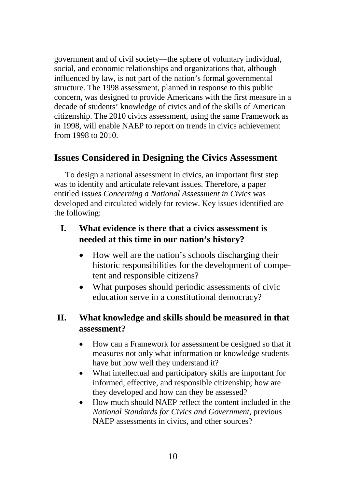government and of civil society—the sphere of voluntary individual, social, and economic relationships and organizations that, although influenced by law, is not part of the nation's formal governmental structure. The 1998 assessment, planned in response to this public concern, was designed to provide Americans with the first measure in a decade of students' knowledge of civics and of the skills of American citizenship. The 2010 civics assessment, using the same Framework as in 1998, will enable NAEP to report on trends in civics achievement from 1998 to 2010.

# <span id="page-24-0"></span>**Issues Considered in Designing the Civics Assessment**

To design a national assessment in civics, an important first step was to identify and articulate relevant issues. Therefore, a paper entitled *Issues Concerning a National Assessment in Civics* was developed and circulated widely for review. Key issues identified are the following:

## **I. What evidence is there that a civics assessment is needed at this time in our nation's history?**

- How well are the nation's schools discharging their historic responsibilities for the development of competent and responsible citizens?
- What purposes should periodic assessments of civic education serve in a constitutional democracy?

# **II. What knowledge and skills should be measured in that assessment?**

- How can a Framework for assessment be designed so that it measures not only what information or knowledge students have but how well they understand it?
- What intellectual and participatory skills are important for informed, effective, and responsible citizenship; how are they developed and how can they be assessed?
- How much should NAEP reflect the content included in the *National Standards for Civics and Government,* previous NAEP assessments in civics, and other sources?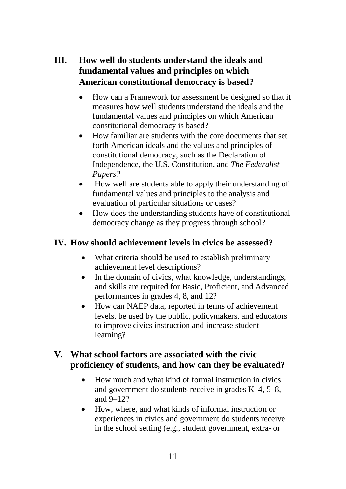# **III. How well do students understand the ideals and fundamental values and principles on which American constitutional democracy is based?**

- How can a Framework for assessment be designed so that it measures how well students understand the ideals and the fundamental values and principles on which American constitutional democracy is based?
- How familiar are students with the core documents that set forth American ideals and the values and principles of constitutional democracy, such as the Declaration of Independence, the U.S. Constitution, and *The Federalist Papers?*
- How well are students able to apply their understanding of fundamental values and principles to the analysis and evaluation of particular situations or cases?
- How does the understanding students have of constitutional democracy change as they progress through school?

## **IV. How should achievement levels in civics be assessed?**

- What criteria should be used to establish preliminary achievement level descriptions?
- In the domain of civics, what knowledge, understandings, and skills are required for Basic, Proficient, and Advanced performances in grades 4, 8, and 12?
- How can NAEP data, reported in terms of achievement levels, be used by the public, policymakers, and educators to improve civics instruction and increase student learning?

### **V. What school factors are associated with the civic proficiency of students, and how can they be evaluated?**

- How much and what kind of formal instruction in civics and government do students receive in grades K–4, 5–8, and 9–12?
- How, where, and what kinds of informal instruction or experiences in civics and government do students receive in the school setting (e.g., student government, extra- or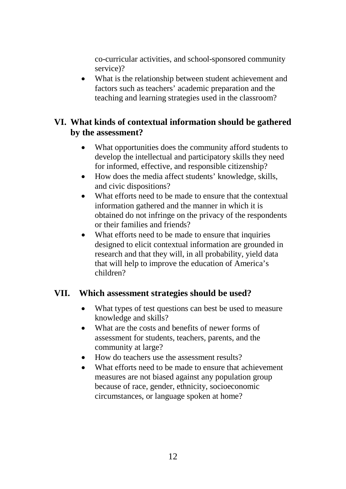co-curricular activities, and school-sponsored community service)?

• What is the relationship between student achievement and factors such as teachers' academic preparation and the teaching and learning strategies used in the classroom?

### **VI. What kinds of contextual information should be gathered by the assessment?**

- What opportunities does the community afford students to develop the intellectual and participatory skills they need for informed, effective, and responsible citizenship?
- How does the media affect students' knowledge, skills, and civic dispositions?
- What efforts need to be made to ensure that the contextual information gathered and the manner in which it is obtained do not infringe on the privacy of the respondents or their families and friends?
- What efforts need to be made to ensure that inquiries designed to elicit contextual information are grounded in research and that they will, in all probability, yield data that will help to improve the education of America's children?

#### **VII. Which assessment strategies should be used?**

- What types of test questions can best be used to measure knowledge and skills?
- What are the costs and benefits of newer forms of assessment for students, teachers, parents, and the community at large?
- How do teachers use the assessment results?
- What efforts need to be made to ensure that achievement measures are not biased against any population group because of race, gender, ethnicity, socioeconomic circumstances, or language spoken at home?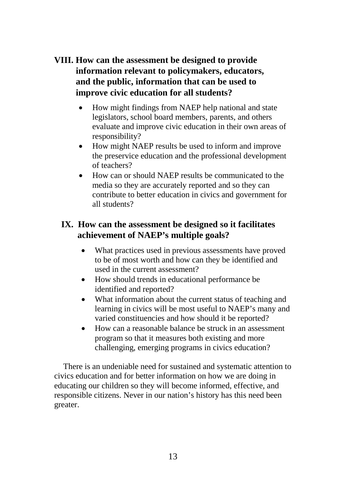# **VIII. How can the assessment be designed to provide information relevant to policymakers, educators, and the public, information that can be used to improve civic education for all students?**

- How might findings from NAEP help national and state legislators, school board members, parents, and others evaluate and improve civic education in their own areas of responsibility?
- How might NAEP results be used to inform and improve the preservice education and the professional development of teachers?
- How can or should NAEP results be communicated to the media so they are accurately reported and so they can contribute to better education in civics and government for all students?

# **IX. How can the assessment be designed so it facilitates achievement of NAEP's multiple goals?**

- What practices used in previous assessments have proved to be of most worth and how can they be identified and used in the current assessment?
- How should trends in educational performance be identified and reported?
- What information about the current status of teaching and learning in civics will be most useful to NAEP's many and varied constituencies and how should it be reported?
- How can a reasonable balance be struck in an assessment program so that it measures both existing and more challenging, emerging programs in civics education?

There is an undeniable need for sustained and systematic attention to civics education and for better information on how we are doing in educating our children so they will become informed, effective, and responsible citizens. Never in our nation's history has this need been greater.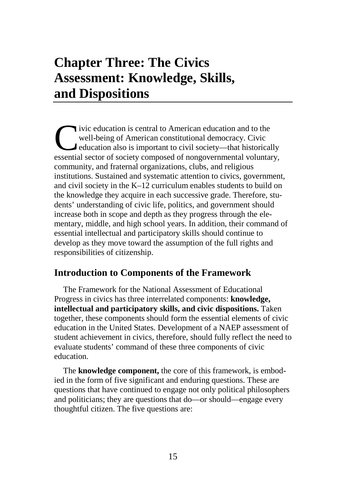# <span id="page-29-0"></span>**Chapter Three: The Civics Assessment: Knowledge, Skills, and Dispositions**

ivic education is central to American education and to the well-being of American constitutional democracy. Civic education also is important to civil society—that historically ivic education is central to American education and to the well-being of American constitutional democracy. Civic education also is important to civil society—that historically essential sector of society composed of nongo community, and fraternal organizations, clubs, and religious institutions. Sustained and systematic attention to civics, government, and civil society in the K–12 curriculum enables students to build on the knowledge they acquire in each successive grade. Therefore, students' understanding of civic life, politics, and government should increase both in scope and depth as they progress through the elementary, middle, and high school years. In addition, their command of essential intellectual and participatory skills should continue to develop as they move toward the assumption of the full rights and responsibilities of citizenship.

# <span id="page-29-1"></span>**Introduction to Components of the Framework**

The Framework for the National Assessment of Educational Progress in civics has three interrelated components: **knowledge, intellectual and participatory skills, and civic dispositions.** Taken together, these components should form the essential elements of civic education in the United States. Development of a NAEP assessment of student achievement in civics, therefore, should fully reflect the need to evaluate students' command of these three components of civic education.

The **knowledge component,** the core of this framework, is embodied in the form of five significant and enduring questions. These are questions that have continued to engage not only political philosophers and politicians; they are questions that do—or should—engage every thoughtful citizen. The five questions are: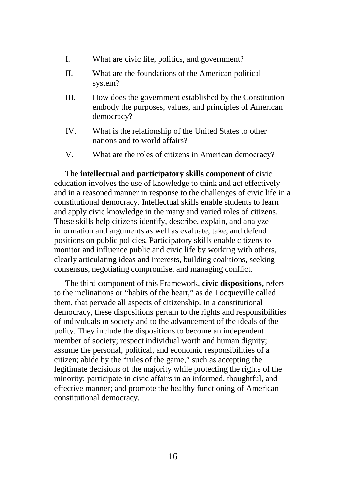- I. What are civic life, politics, and government?
- II. What are the foundations of the American political system?
- III. How does the government established by the Constitution embody the purposes, values, and principles of American democracy?
- IV. What is the relationship of the United States to other nations and to world affairs?
- V. What are the roles of citizens in American democracy?

The **intellectual and participatory skills component** of civic education involves the use of knowledge to think and act effectively and in a reasoned manner in response to the challenges of civic life in a constitutional democracy. Intellectual skills enable students to learn and apply civic knowledge in the many and varied roles of citizens. These skills help citizens identify, describe, explain, and analyze information and arguments as well as evaluate, take, and defend positions on public policies. Participatory skills enable citizens to monitor and influence public and civic life by working with others, clearly articulating ideas and interests, building coalitions, seeking consensus, negotiating compromise, and managing conflict.

The third component of this Framework, **civic dispositions,** refers to the inclinations or "habits of the heart," as de Tocqueville called them, that pervade all aspects of citizenship. In a constitutional democracy, these dispositions pertain to the rights and responsibilities of individuals in society and to the advancement of the ideals of the polity. They include the dispositions to become an independent member of society; respect individual worth and human dignity; assume the personal, political, and economic responsibilities of a citizen; abide by the "rules of the game," such as accepting the legitimate decisions of the majority while protecting the rights of the minority; participate in civic affairs in an informed, thoughtful, and effective manner; and promote the healthy functioning of American constitutional democracy.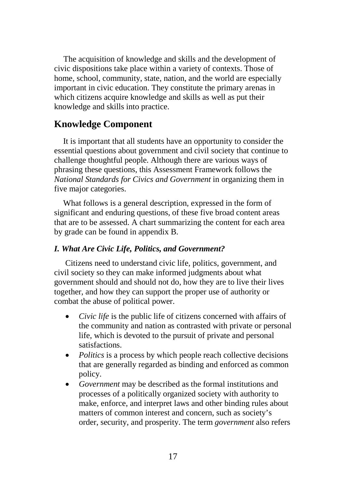The acquisition of knowledge and skills and the development of civic dispositions take place within a variety of contexts. Those of home, school, community, state, nation, and the world are especially important in civic education. They constitute the primary arenas in which citizens acquire knowledge and skills as well as put their knowledge and skills into practice.

#### <span id="page-31-0"></span>**Knowledge Component**

It is important that all students have an opportunity to consider the essential questions about government and civil society that continue to challenge thoughtful people. Although there are various ways of phrasing these questions, this Assessment Framework follows the *National Standards for Civics and Government* in organizing them in five major categories.

What follows is a general description, expressed in the form of significant and enduring questions, of these five broad content areas that are to be assessed. A chart summarizing the content for each area by grade can be found in appendix B.

#### *I. What Are Civic Life, Politics, and Government?*

Citizens need to understand civic life, politics, government, and civil society so they can make informed judgments about what government should and should not do, how they are to live their lives together, and how they can support the proper use of authority or combat the abuse of political power.

- *Civic life* is the public life of citizens concerned with affairs of the community and nation as contrasted with private or personal life, which is devoted to the pursuit of private and personal satisfactions.
- *Politics* is a process by which people reach collective decisions that are generally regarded as binding and enforced as common policy.
- *Government* may be described as the formal institutions and processes of a politically organized society with authority to make, enforce, and interpret laws and other binding rules about matters of common interest and concern, such as society's order, security, and prosperity. The term *government* also refers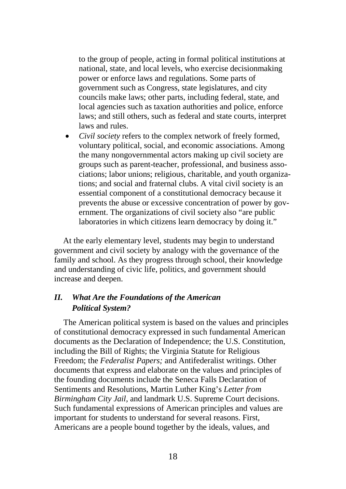to the group of people, acting in formal political institutions at national, state, and local levels, who exercise decisionmaking power or enforce laws and regulations. Some parts of government such as Congress, state legislatures, and city councils make laws; other parts, including federal, state, and local agencies such as taxation authorities and police, enforce laws; and still others, such as federal and state courts, interpret laws and rules.

• *Civil society* refers to the complex network of freely formed, voluntary political, social, and economic associations. Among the many nongovernmental actors making up civil society are groups such as parent-teacher, professional, and business associations; labor unions; religious, charitable, and youth organizations; and social and fraternal clubs. A vital civil society is an essential component of a constitutional democracy because it prevents the abuse or excessive concentration of power by government. The organizations of civil society also "are public laboratories in which citizens learn democracy by doing it."

At the early elementary level, students may begin to understand government and civil society by analogy with the governance of the family and school. As they progress through school, their knowledge and understanding of civic life, politics, and government should increase and deepen.

#### *II. What Are the Foundations of the American Political System?*

The American political system is based on the values and principles of constitutional democracy expressed in such fundamental American documents as the Declaration of Independence; the U.S. Constitution, including the Bill of Rights; the Virginia Statute for Religious Freedom; the *Federalist Papers;* and Antifederalist writings. Other documents that express and elaborate on the values and principles of the founding documents include the Seneca Falls Declaration of Sentiments and Resolutions, Martin Luther King's *Letter from Birmingham City Jail,* and landmark U.S. Supreme Court decisions. Such fundamental expressions of American principles and values are important for students to understand for several reasons. First, Americans are a people bound together by the ideals, values, and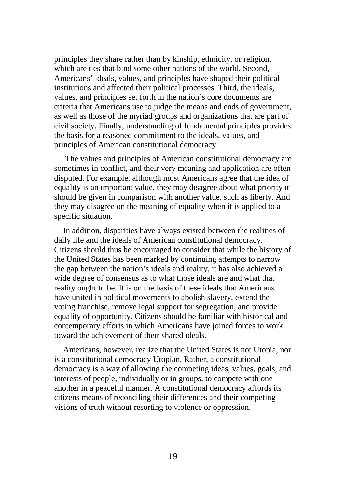principles they share rather than by kinship, ethnicity, or religion, which are ties that bind some other nations of the world. Second, Americans' ideals, values, and principles have shaped their political institutions and affected their political processes. Third, the ideals, values, and principles set forth in the nation's core documents are criteria that Americans use to judge the means and ends of government, as well as those of the myriad groups and organizations that are part of civil society. Finally, understanding of fundamental principles provides the basis for a reasoned commitment to the ideals, values, and principles of American constitutional democracy.

The values and principles of American constitutional democracy are sometimes in conflict, and their very meaning and application are often disputed. For example, although most Americans agree that the idea of equality is an important value, they may disagree about what priority it should be given in comparison with another value, such as liberty. And they may disagree on the meaning of equality when it is applied to a specific situation.

In addition, disparities have always existed between the realities of daily life and the ideals of American constitutional democracy. Citizens should thus be encouraged to consider that while the history of the United States has been marked by continuing attempts to narrow the gap between the nation's ideals and reality, it has also achieved a wide degree of consensus as to what those ideals are and what that reality ought to be. It is on the basis of these ideals that Americans have united in political movements to abolish slavery, extend the voting franchise, remove legal support for segregation, and provide equality of opportunity. Citizens should be familiar with historical and contemporary efforts in which Americans have joined forces to work toward the achievement of their shared ideals.

Americans, however, realize that the United States is not Utopia, nor is a constitutional democracy Utopian. Rather, a constitutional democracy is a way of allowing the competing ideas, values, goals, and interests of people, individually or in groups, to compete with one another in a peaceful manner. A constitutional democracy affords its citizens means of reconciling their differences and their competing visions of truth without resorting to violence or oppression.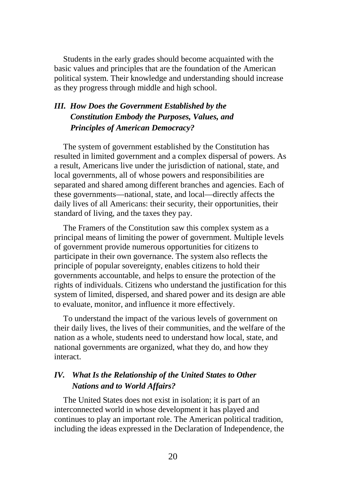Students in the early grades should become acquainted with the basic values and principles that are the foundation of the American political system. Their knowledge and understanding should increase as they progress through middle and high school.

### *III. How Does the Government Established by the Constitution Embody the Purposes, Values, and Principles of American Democracy?*

The system of government established by the Constitution has resulted in limited government and a complex dispersal of powers. As a result, Americans live under the jurisdiction of national, state, and local governments, all of whose powers and responsibilities are separated and shared among different branches and agencies. Each of these governments—national, state, and local—directly affects the daily lives of all Americans: their security, their opportunities, their standard of living, and the taxes they pay.

The Framers of the Constitution saw this complex system as a principal means of limiting the power of government. Multiple levels of government provide numerous opportunities for citizens to participate in their own governance. The system also reflects the principle of popular sovereignty, enables citizens to hold their governments accountable, and helps to ensure the protection of the rights of individuals. Citizens who understand the justification for this system of limited, dispersed, and shared power and its design are able to evaluate, monitor, and influence it more effectively.

To understand the impact of the various levels of government on their daily lives, the lives of their communities, and the welfare of the nation as a whole, students need to understand how local, state, and national governments are organized, what they do, and how they interact.

#### *IV. What Is the Relationship of the United States to Other Nations and to World Affairs?*

The United States does not exist in isolation; it is part of an interconnected world in whose development it has played and continues to play an important role. The American political tradition, including the ideas expressed in the Declaration of Independence, the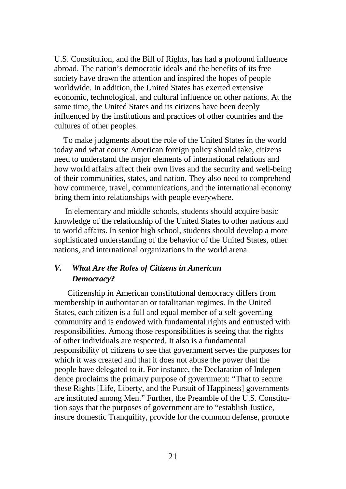U.S. Constitution, and the Bill of Rights, has had a profound influence abroad. The nation's democratic ideals and the benefits of its free society have drawn the attention and inspired the hopes of people worldwide. In addition, the United States has exerted extensive economic, technological, and cultural influence on other nations. At the same time, the United States and its citizens have been deeply influenced by the institutions and practices of other countries and the cultures of other peoples.

To make judgments about the role of the United States in the world today and what course American foreign policy should take, citizens need to understand the major elements of international relations and how world affairs affect their own lives and the security and well-being of their communities, states, and nation. They also need to comprehend how commerce, travel, communications, and the international economy bring them into relationships with people everywhere.

In elementary and middle schools, students should acquire basic knowledge of the relationship of the United States to other nations and to world affairs. In senior high school, students should develop a more sophisticated understanding of the behavior of the United States, other nations, and international organizations in the world arena.

#### *V. What Are the Roles of Citizens in American Democracy?*

Citizenship in American constitutional democracy differs from membership in authoritarian or totalitarian regimes. In the United States, each citizen is a full and equal member of a self-governing community and is endowed with fundamental rights and entrusted with responsibilities. Among those responsibilities is seeing that the rights of other individuals are respected. It also is a fundamental responsibility of citizens to see that government serves the purposes for which it was created and that it does not abuse the power that the people have delegated to it. For instance, the Declaration of Independence proclaims the primary purpose of government: "That to secure these Rights [Life, Liberty, and the Pursuit of Happiness] governments are instituted among Men." Further, the Preamble of the U.S. Constitution says that the purposes of government are to "establish Justice, insure domestic Tranquility, provide for the common defense, promote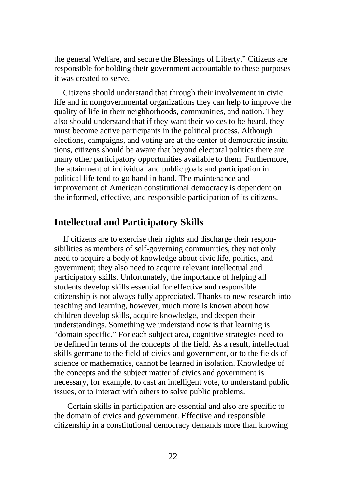the general Welfare, and secure the Blessings of Liberty." Citizens are responsible for holding their government accountable to these purposes it was created to serve.

Citizens should understand that through their involvement in civic life and in nongovernmental organizations they can help to improve the quality of life in their neighborhoods, communities, and nation. They also should understand that if they want their voices to be heard, they must become active participants in the political process. Although elections, campaigns, and voting are at the center of democratic institutions, citizens should be aware that beyond electoral politics there are many other participatory opportunities available to them. Furthermore, the attainment of individual and public goals and participation in political life tend to go hand in hand. The maintenance and improvement of American constitutional democracy is dependent on the informed, effective, and responsible participation of its citizens.

### **Intellectual and Participatory Skills**

If citizens are to exercise their rights and discharge their responsibilities as members of self-governing communities, they not only need to acquire a body of knowledge about civic life, politics, and government; they also need to acquire relevant intellectual and participatory skills. Unfortunately, the importance of helping all students develop skills essential for effective and responsible citizenship is not always fully appreciated. Thanks to new research into teaching and learning, however, much more is known about how children develop skills, acquire knowledge, and deepen their understandings. Something we understand now is that learning is "domain specific." For each subject area, cognitive strategies need to be defined in terms of the concepts of the field. As a result, intellectual skills germane to the field of civics and government, or to the fields of science or mathematics, cannot be learned in isolation. Knowledge of the concepts and the subject matter of civics and government is necessary, for example, to cast an intelligent vote, to understand public issues, or to interact with others to solve public problems.

Certain skills in participation are essential and also are specific to the domain of civics and government. Effective and responsible citizenship in a constitutional democracy demands more than knowing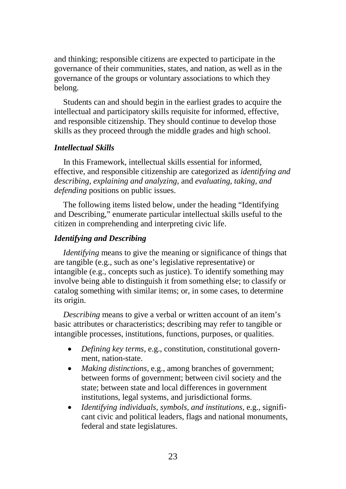and thinking; responsible citizens are expected to participate in the governance of their communities, states, and nation, as well as in the governance of the groups or voluntary associations to which they belong.

Students can and should begin in the earliest grades to acquire the intellectual and participatory skills requisite for informed, effective, and responsible citizenship. They should continue to develop those skills as they proceed through the middle grades and high school.

#### *Intellectual Skills*

In this Framework, intellectual skills essential for informed, effective, and responsible citizenship are categorized as *identifying and describing, explaining and analyzing,* and *evaluating, taking, and defending* positions on public issues.

The following items listed below, under the heading "Identifying and Describing," enumerate particular intellectual skills useful to the citizen in comprehending and interpreting civic life.

### *Identifying and Describing*

*Identifying* means to give the meaning or significance of things that are tangible (e.g., such as one's legislative representative) or intangible (e.g., concepts such as justice). To identify something may involve being able to distinguish it from something else; to classify or catalog something with similar items; or, in some cases, to determine its origin.

*Describing* means to give a verbal or written account of an item's basic attributes or characteristics; describing may refer to tangible or intangible processes, institutions, functions, purposes, or qualities.

- *Defining key terms,* e.g., constitution, constitutional government, nation-state.
- *Making distinctions,* e.g., among branches of government; between forms of government; between civil society and the state; between state and local differences in government institutions, legal systems, and jurisdictional forms.
- *Identifying individuals, symbols, and institutions,* e.g., significant civic and political leaders, flags and national monuments, federal and state legislatures.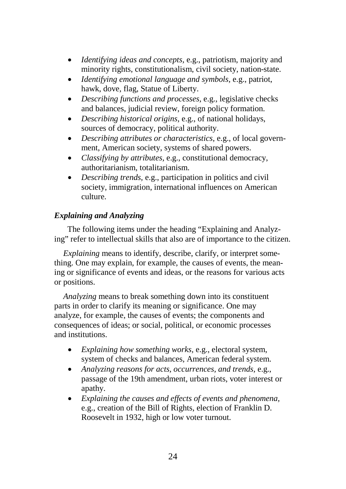- *Identifying ideas and concepts,* e.g., patriotism, majority and minority rights, constitutionalism, civil society, nation-state.
- *Identifying emotional language and symbols,* e.g., patriot, hawk, dove, flag, Statue of Liberty.
- *Describing functions and processes,* e.g., legislative checks and balances, judicial review, foreign policy formation.
- *Describing historical origins,* e.g., of national holidays, sources of democracy, political authority.
- *Describing attributes or characteristics,* e.g., of local government, American society, systems of shared powers.
- *Classifying by attributes,* e.g., constitutional democracy, authoritarianism, totalitarianism.
- *Describing trends,* e.g., participation in politics and civil society, immigration, international influences on American culture.

# *Explaining and Analyzing*

The following items under the heading "Explaining and Analyzing" refer to intellectual skills that also are of importance to the citizen.

*Explaining* means to identify, describe, clarify, or interpret something. One may explain, for example, the causes of events, the meaning or significance of events and ideas, or the reasons for various acts or positions.

*Analyzing* means to break something down into its constituent parts in order to clarify its meaning or significance. One may analyze, for example, the causes of events; the components and consequences of ideas; or social, political, or economic processes and institutions.

- *Explaining how something works,* e.g., electoral system, system of checks and balances, American federal system.
- *Analyzing reasons for acts, occurrences, and trends,* e.g., passage of the 19th amendment, urban riots, voter interest or apathy.
- *Explaining the causes and effects of events and phenomena,*  e.g., creation of the Bill of Rights, election of Franklin D. Roosevelt in 1932, high or low voter turnout.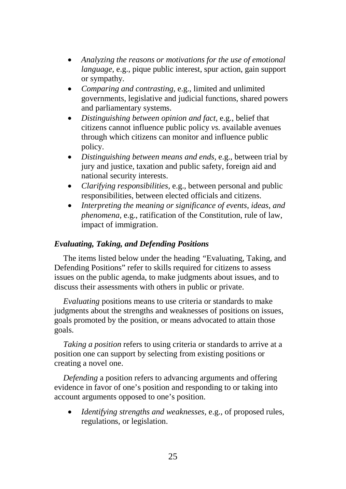- *Analyzing the reasons or motivations for the use of emotional language,* e.g., pique public interest, spur action, gain support or sympathy.
- *Comparing and contrasting,* e.g., limited and unlimited governments, legislative and judicial functions, shared powers and parliamentary systems.
- *Distinguishing between opinion and fact,* e.g., belief that citizens cannot influence public policy *vs.* available avenues through which citizens can monitor and influence public policy.
- *Distinguishing between means and ends,* e.g., between trial by jury and justice, taxation and public safety, foreign aid and national security interests.
- *Clarifying responsibilities,* e.g., between personal and public responsibilities, between elected officials and citizens.
- *Interpreting the meaning or significance of events, ideas, and phenomena,* e.g., ratification of the Constitution, rule of law, impact of immigration.

### *Evaluating, Taking, and Defending Positions*

The items listed below under the heading *"*Evaluating, Taking, and Defending Positions" refer to skills required for citizens to assess issues on the public agenda, to make judgments about issues, and to discuss their assessments with others in public or private.

*Evaluating* positions means to use criteria or standards to make judgments about the strengths and weaknesses of positions on issues, goals promoted by the position, or means advocated to attain those goals.

*Taking a position* refers to using criteria or standards to arrive at a position one can support by selecting from existing positions or creating a novel one.

*Defending* a position refers to advancing arguments and offering evidence in favor of one's position and responding to or taking into account arguments opposed to one's position.

• *Identifying strengths and weaknesses,* e.g., of proposed rules, regulations, or legislation.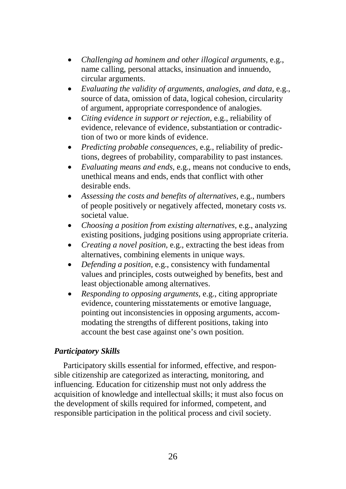- *Challenging ad hominem and other illogical arguments,* e.g., name calling, personal attacks, insinuation and innuendo, circular arguments.
- *Evaluating the validity of arguments, analogies, and data,* e.g., source of data, omission of data, logical cohesion, circularity of argument, appropriate correspondence of analogies.
- *Citing evidence in support or rejection,* e.g., reliability of evidence, relevance of evidence, substantiation or contradiction of two or more kinds of evidence.
- *Predicting probable consequences,* e.g., reliability of predictions, degrees of probability, comparability to past instances.
- *Evaluating means and ends,* e.g., means not conducive to ends, unethical means and ends, ends that conflict with other desirable ends.
- *Assessing the costs and benefits of alternatives,* e.g., numbers of people positively or negatively affected, monetary costs *vs.* societal value.
- *Choosing a position from existing alternatives,* e.g., analyzing existing positions, judging positions using appropriate criteria.
- *Creating a novel position,* e.g., extracting the best ideas from alternatives, combining elements in unique ways.
- *Defending a position,* e.g., consistency with fundamental values and principles, costs outweighed by benefits, best and least objectionable among alternatives.
- *Responding to opposing arguments,* e.g., citing appropriate evidence, countering misstatements or emotive language, pointing out inconsistencies in opposing arguments, accommodating the strengths of different positions, taking into account the best case against one's own position.

### *Participatory Skills*

Participatory skills essential for informed, effective, and responsible citizenship are categorized as interacting, monitoring, and influencing. Education for citizenship must not only address the acquisition of knowledge and intellectual skills; it must also focus on the development of skills required for informed, competent, and responsible participation in the political process and civil society.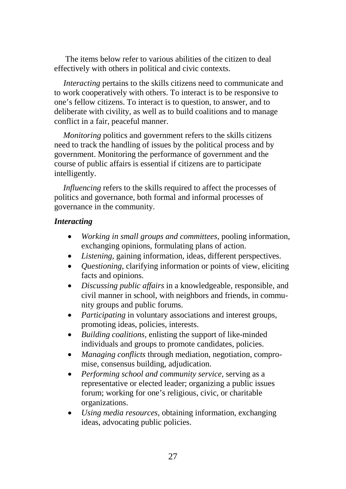The items below refer to various abilities of the citizen to deal effectively with others in political and civic contexts.

*Interacting* pertains to the skills citizens need to communicate and to work cooperatively with others. To interact is to be responsive to one's fellow citizens. To interact is to question, to answer, and to deliberate with civility, as well as to build coalitions and to manage conflict in a fair, peaceful manner.

*Monitoring* politics and government refers to the skills citizens need to track the handling of issues by the political process and by government. Monitoring the performance of government and the course of public affairs is essential if citizens are to participate intelligently.

*Influencing* refers to the skills required to affect the processes of politics and governance, both formal and informal processes of governance in the community.

### *Interacting*

- *Working in small groups and committees,* pooling information, exchanging opinions, formulating plans of action.
- *Listening,* gaining information, ideas, different perspectives.
- *Questioning,* clarifying information or points of view, eliciting facts and opinions.
- *Discussing public affairs* in a knowledgeable, responsible, and civil manner in school, with neighbors and friends, in community groups and public forums.
- *Participating* in voluntary associations and interest groups, promoting ideas, policies, interests.
- *Building coalitions,* enlisting the support of like-minded individuals and groups to promote candidates, policies.
- *Managing conflicts* through mediation, negotiation, compromise, consensus building, adjudication.
- *Performing school and community service,* serving as a representative or elected leader; organizing a public issues forum; working for one's religious, civic, or charitable organizations.
- *Using media resources,* obtaining information, exchanging ideas, advocating public policies.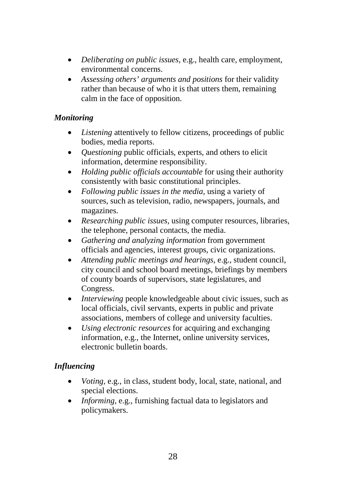- *Deliberating on public issues,* e.g., health care, employment, environmental concerns.
- *Assessing others' arguments and positions* for their validity rather than because of who it is that utters them, remaining calm in the face of opposition.

# *Monitoring*

- *Listening* attentively to fellow citizens, proceedings of public bodies, media reports.
- *Questioning* public officials, experts, and others to elicit information, determine responsibility.
- *Holding public officials accountable* for using their authority consistently with basic constitutional principles.
- *Following public issues in the media,* using a variety of sources, such as television, radio, newspapers, journals, and magazines.
- *Researching public issues,* using computer resources, libraries, the telephone, personal contacts, the media.
- *Gathering and analyzing information* from government officials and agencies, interest groups, civic organizations.
- *Attending public meetings and hearings,* e.g., student council, city council and school board meetings, briefings by members of county boards of supervisors, state legislatures, and Congress.
- *Interviewing* people knowledgeable about civic issues, such as local officials, civil servants, experts in public and private associations, members of college and university faculties.
- *Using electronic resources* for acquiring and exchanging information, e.g., the Internet, online university services, electronic bulletin boards.

# *Influencing*

- *Voting,* e.g., in class, student body, local, state, national, and special elections.
- *Informing,* e.g., furnishing factual data to legislators and policymakers.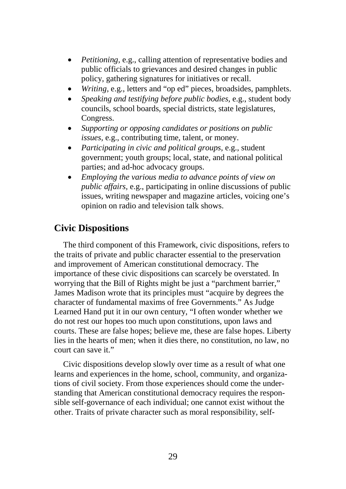- *Petitioning,* e.g., calling attention of representative bodies and public officials to grievances and desired changes in public policy, gathering signatures for initiatives or recall.
- *Writing,* e.g., letters and "op ed" pieces, broadsides, pamphlets.
- *Speaking and testifying before public bodies,* e.g., student body councils, school boards, special districts, state legislatures, Congress.
- *Supporting or opposing candidates or positions on public issues,* e.g., contributing time, talent, or money.
- *Participating in civic and political groups,* e.g., student government; youth groups; local, state, and national political parties; and ad-hoc advocacy groups.
- *Employing the various media to advance points of view on public affairs,* e.g., participating in online discussions of public issues, writing newspaper and magazine articles, voicing one's opinion on radio and television talk shows.

# **Civic Dispositions**

The third component of this Framework, civic dispositions, refers to the traits of private and public character essential to the preservation and improvement of American constitutional democracy. The importance of these civic dispositions can scarcely be overstated. In worrying that the Bill of Rights might be just a "parchment barrier," James Madison wrote that its principles must "acquire by degrees the character of fundamental maxims of free Governments." As Judge Learned Hand put it in our own century, "I often wonder whether we do not rest our hopes too much upon constitutions, upon laws and courts. These are false hopes; believe me, these are false hopes. Liberty lies in the hearts of men; when it dies there, no constitution, no law, no court can save it."

Civic dispositions develop slowly over time as a result of what one learns and experiences in the home, school, community, and organizations of civil society. From those experiences should come the understanding that American constitutional democracy requires the responsible self-governance of each individual; one cannot exist without the other. Traits of private character such as moral responsibility, self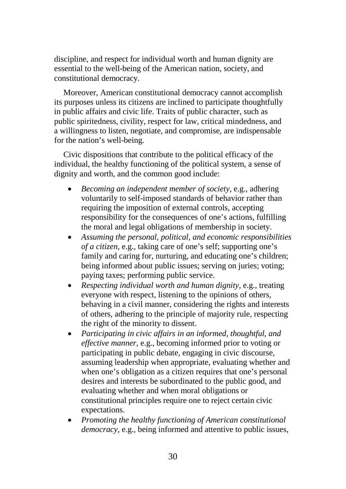discipline, and respect for individual worth and human dignity are essential to the well-being of the American nation, society, and constitutional democracy.

Moreover, American constitutional democracy cannot accomplish its purposes unless its citizens are inclined to participate thoughtfully in public affairs and civic life. Traits of public character, such as public spiritedness, civility, respect for law, critical mindedness, and a willingness to listen, negotiate, and compromise, are indispensable for the nation's well-being.

Civic dispositions that contribute to the political efficacy of the individual, the healthy functioning of the political system, a sense of dignity and worth, and the common good include:

- *Becoming an independent member of society,* e.g., adhering voluntarily to self-imposed standards of behavior rather than requiring the imposition of external controls, accepting responsibility for the consequences of one's actions, fulfilling the moral and legal obligations of membership in society.
- *Assuming the personal, political, and economic responsibilities of a citizen,* e.g., taking care of one's self; supporting one's family and caring for, nurturing, and educating one's children; being informed about public issues; serving on juries; voting; paying taxes; performing public service.
- *Respecting individual worth and human dignity,* e.g., treating everyone with respect, listening to the opinions of others, behaving in a civil manner, considering the rights and interests of others, adhering to the principle of majority rule, respecting the right of the minority to dissent.
- *Participating in civic affairs in an informed, thoughtful, and effective manner,* e.g., becoming informed prior to voting or participating in public debate, engaging in civic discourse, assuming leadership when appropriate, evaluating whether and when one's obligation as a citizen requires that one's personal desires and interests be subordinated to the public good, and evaluating whether and when moral obligations or constitutional principles require one to reject certain civic expectations.
- *Promoting the healthy functioning of American constitutional democracy,* e.g., being informed and attentive to public issues,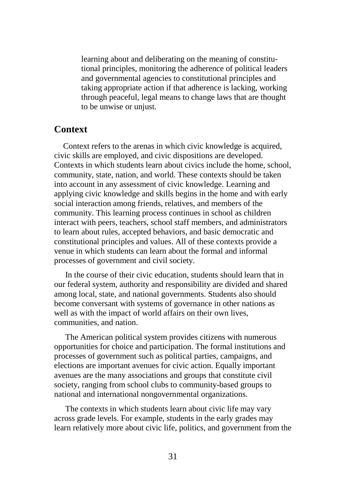learning about and deliberating on the meaning of constitutional principles, monitoring the adherence of political leaders and governmental agencies to constitutional principles and taking appropriate action if that adherence is lacking, working through peaceful, legal means to change laws that are thought to be unwise or unjust.

# **Context**

Context refers to the arenas in which civic knowledge is acquired, civic skills are employed, and civic dispositions are developed. Contexts in which students learn about civics include the home, school, community, state, nation, and world. These contexts should be taken into account in any assessment of civic knowledge. Learning and applying civic knowledge and skills begins in the home and with early social interaction among friends, relatives, and members of the community. This learning process continues in school as children interact with peers, teachers, school staff members, and administrators to learn about rules, accepted behaviors, and basic democratic and constitutional principles and values. All of these contexts provide a venue in which students can learn about the formal and informal processes of government and civil society.

In the course of their civic education, students should learn that in our federal system, authority and responsibility are divided and shared among local, state, and national governments. Students also should become conversant with systems of governance in other nations as well as with the impact of world affairs on their own lives, communities, and nation.

The American political system provides citizens with numerous opportunities for choice and participation. The formal institutions and processes of government such as political parties, campaigns, and elections are important avenues for civic action. Equally important avenues are the many associations and groups that constitute civil society, ranging from school clubs to community-based groups to national and international nongovernmental organizations.

The contexts in which students learn about civic life may vary across grade levels. For example, students in the early grades may learn relatively more about civic life, politics, and government from the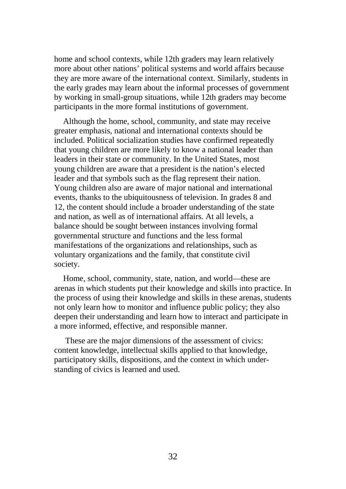home and school contexts, while 12th graders may learn relatively more about other nations' political systems and world affairs because they are more aware of the international context. Similarly, students in the early grades may learn about the informal processes of government by working in small-group situations, while 12th graders may become participants in the more formal institutions of government.

Although the home, school, community, and state may receive greater emphasis, national and international contexts should be included. Political socialization studies have confirmed repeatedly that young children are more likely to know a national leader than leaders in their state or community. In the United States, most young children are aware that a president is the nation's elected leader and that symbols such as the flag represent their nation. Young children also are aware of major national and international events, thanks to the ubiquitousness of television. In grades 8 and 12, the content should include a broader understanding of the state and nation, as well as of international affairs. At all levels, a balance should be sought between instances involving formal governmental structure and functions and the less formal manifestations of the organizations and relationships, such as voluntary organizations and the family, that constitute civil society.

Home, school, community, state, nation, and world—these are arenas in which students put their knowledge and skills into practice. In the process of using their knowledge and skills in these arenas, students not only learn how to monitor and influence public policy; they also deepen their understanding and learn how to interact and participate in a more informed, effective, and responsible manner.

These are the major dimensions of the assessment of civics: content knowledge, intellectual skills applied to that knowledge, participatory skills, dispositions, and the context in which understanding of civics is learned and used.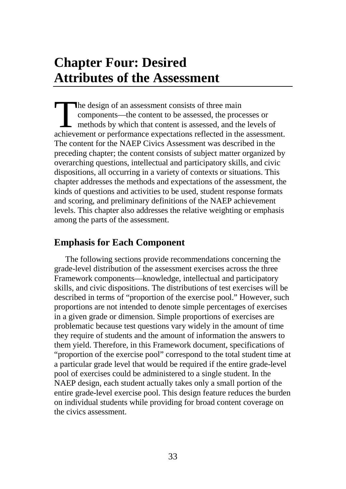# **Chapter Four: Desired Attributes of the Assessment**

he design of an assessment consists of three main components—the content to be assessed, the processes or methods by which that content is assessed, and the levels of The design of an assessment consists of three main<br>components—the content to be assessed, the processes or<br>methods by which that content is assessed, and the levels of<br>achievement or performance expectations reflected in t The content for the NAEP Civics Assessment was described in the preceding chapter; the content consists of subject matter organized by overarching questions, intellectual and participatory skills, and civic dispositions, all occurring in a variety of contexts or situations. This chapter addresses the methods and expectations of the assessment, the kinds of questions and activities to be used, student response formats and scoring, and preliminary definitions of the NAEP achievement levels. This chapter also addresses the relative weighting or emphasis among the parts of the assessment.

# **Emphasis for Each Component**

The following sections provide recommendations concerning the grade-level distribution of the assessment exercises across the three Framework components—knowledge, intellectual and participatory skills, and civic dispositions. The distributions of test exercises will be described in terms of "proportion of the exercise pool." However, such proportions are not intended to denote simple percentages of exercises in a given grade or dimension. Simple proportions of exercises are problematic because test questions vary widely in the amount of time they require of students and the amount of information the answers to them yield. Therefore, in this Framework document, specifications of "proportion of the exercise pool" correspond to the total student time at a particular grade level that would be required if the entire grade-level pool of exercises could be administered to a single student. In the NAEP design, each student actually takes only a small portion of the entire grade-level exercise pool. This design feature reduces the burden on individual students while providing for broad content coverage on the civics assessment.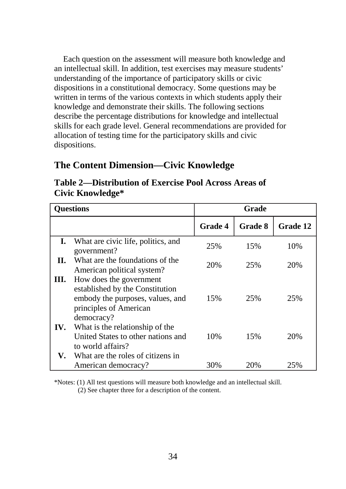Each question on the assessment will measure both knowledge and an intellectual skill. In addition, test exercises may measure students' understanding of the importance of participatory skills or civic dispositions in a constitutional democracy. Some questions may be written in terms of the various contexts in which students apply their knowledge and demonstrate their skills. The following sections describe the percentage distributions for knowledge and intellectual skills for each grade level. General recommendations are provided for allocation of testing time for the participatory skills and civic dispositions.

# **The Content Dimension—Civic Knowledge**

**Table 2—Distribution of Exercise Pool Across Areas of Civic Knowledge\*** 

| <b>Questions</b> |                                                                                                                                        | Grade          |         |                 |
|------------------|----------------------------------------------------------------------------------------------------------------------------------------|----------------|---------|-----------------|
|                  |                                                                                                                                        | <b>Grade 4</b> | Grade 8 | <b>Grade 12</b> |
| I.               | What are civic life, politics, and<br>government?                                                                                      | 25%            | 15%     | 10%             |
| П.               | What are the foundations of the<br>American political system?                                                                          | 20%            | 25%     | 20%             |
| Ш.               | How does the government<br>established by the Constitution<br>embody the purposes, values, and<br>principles of American<br>democracy? | 15%            | 25%     | 25%             |
| IV.              | What is the relationship of the<br>United States to other nations and<br>to world affairs?<br>What are the roles of citizens in        | 10%            | 15%     | 20%             |
| V.               | American democracy?                                                                                                                    | 30%            | 20\%    | 25%             |

\*Notes: (1) All test questions will measure both knowledge and an intellectual skill.

(2) See chapter three for a description of the content.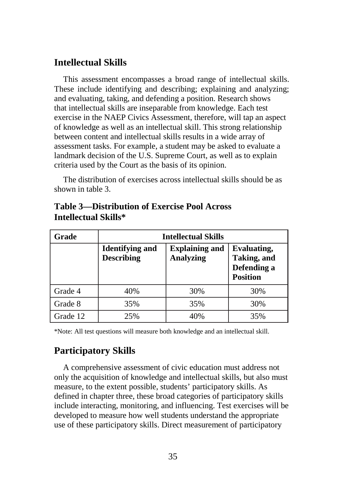# **Intellectual Skills**

This assessment encompasses a broad range of intellectual skills. These include identifying and describing; explaining and analyzing; and evaluating, taking, and defending a position. Research shows that intellectual skills are inseparable from knowledge. Each test exercise in the NAEP Civics Assessment, therefore, will tap an aspect of knowledge as well as an intellectual skill. This strong relationship between content and intellectual skills results in a wide array of assessment tasks. For example, a student may be asked to evaluate a landmark decision of the U.S. Supreme Court, as well as to explain criteria used by the Court as the basis of its opinion.

The distribution of exercises across intellectual skills should be as shown in table 3.

| Grade    | <b>Intellectual Skills</b>                  |                                           |                                                              |  |  |
|----------|---------------------------------------------|-------------------------------------------|--------------------------------------------------------------|--|--|
|          | <b>Identifying and</b><br><b>Describing</b> | <b>Explaining and</b><br><b>Analyzing</b> | Evaluating,<br>Taking, and<br>Defending a<br><b>Position</b> |  |  |
| Grade 4  | 40%                                         | 30%                                       | 30%                                                          |  |  |
| Grade 8  | 35%                                         | 35%                                       | 30%                                                          |  |  |
| Grade 12 | 25%                                         | 40%                                       | 35%                                                          |  |  |

# **Table 3—Distribution of Exercise Pool Across Intellectual Skills\***

\*Note: All test questions will measure both knowledge and an intellectual skill.

# **Participatory Skills**

A comprehensive assessment of civic education must address not only the acquisition of knowledge and intellectual skills, but also must measure, to the extent possible, students' participatory skills. As defined in chapter three, these broad categories of participatory skills include interacting, monitoring, and influencing. Test exercises will be developed to measure how well students understand the appropriate use of these participatory skills. Direct measurement of participatory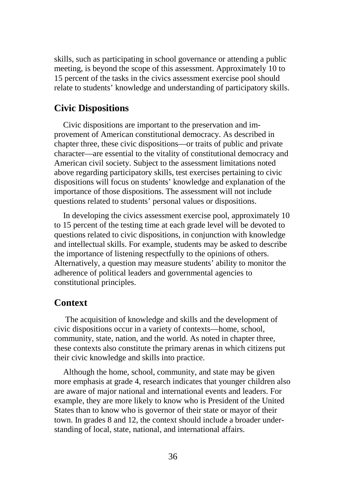skills, such as participating in school governance or attending a public meeting, is beyond the scope of this assessment. Approximately 10 to 15 percent of the tasks in the civics assessment exercise pool should relate to students' knowledge and understanding of participatory skills.

# **Civic Dispositions**

Civic dispositions are important to the preservation and improvement of American constitutional democracy. As described in chapter three, these civic dispositions—or traits of public and private character—are essential to the vitality of constitutional democracy and American civil society. Subject to the assessment limitations noted above regarding participatory skills, test exercises pertaining to civic dispositions will focus on students' knowledge and explanation of the importance of those dispositions. The assessment will not include questions related to students' personal values or dispositions.

In developing the civics assessment exercise pool, approximately 10 to 15 percent of the testing time at each grade level will be devoted to questions related to civic dispositions, in conjunction with knowledge and intellectual skills. For example, students may be asked to describe the importance of listening respectfully to the opinions of others. Alternatively, a question may measure students' ability to monitor the adherence of political leaders and governmental agencies to constitutional principles.

### **Context**

The acquisition of knowledge and skills and the development of civic dispositions occur in a variety of contexts—home, school, community, state, nation, and the world. As noted in chapter three, these contexts also constitute the primary arenas in which citizens put their civic knowledge and skills into practice.

Although the home, school, community, and state may be given more emphasis at grade 4, research indicates that younger children also are aware of major national and international events and leaders. For example, they are more likely to know who is President of the United States than to know who is governor of their state or mayor of their town. In grades 8 and 12, the context should include a broader understanding of local, state, national, and international affairs.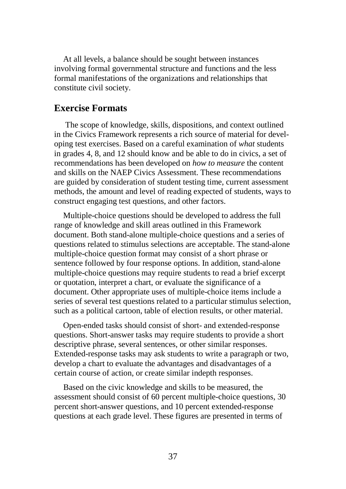At all levels, a balance should be sought between instances involving formal governmental structure and functions and the less formal manifestations of the organizations and relationships that constitute civil society.

### **Exercise Formats**

The scope of knowledge, skills, dispositions, and context outlined in the Civics Framework represents a rich source of material for developing test exercises. Based on a careful examination of *what* students in grades 4, 8, and 12 should know and be able to do in civics, a set of recommendations has been developed on *how to measure* the content and skills on the NAEP Civics Assessment. These recommendations are guided by consideration of student testing time, current assessment methods, the amount and level of reading expected of students, ways to construct engaging test questions, and other factors.

Multiple-choice questions should be developed to address the full range of knowledge and skill areas outlined in this Framework document. Both stand-alone multiple-choice questions and a series of questions related to stimulus selections are acceptable. The stand-alone multiple-choice question format may consist of a short phrase or sentence followed by four response options. In addition, stand-alone multiple-choice questions may require students to read a brief excerpt or quotation, interpret a chart, or evaluate the significance of a document. Other appropriate uses of multiple-choice items include a series of several test questions related to a particular stimulus selection, such as a political cartoon, table of election results, or other material.

Open-ended tasks should consist of short- and extended-response questions. Short-answer tasks may require students to provide a short descriptive phrase, several sentences, or other similar responses. Extended-response tasks may ask students to write a paragraph or two, develop a chart to evaluate the advantages and disadvantages of a certain course of action, or create similar indepth responses.

Based on the civic knowledge and skills to be measured, the assessment should consist of 60 percent multiple-choice questions, 30 percent short-answer questions, and 10 percent extended-response questions at each grade level. These figures are presented in terms of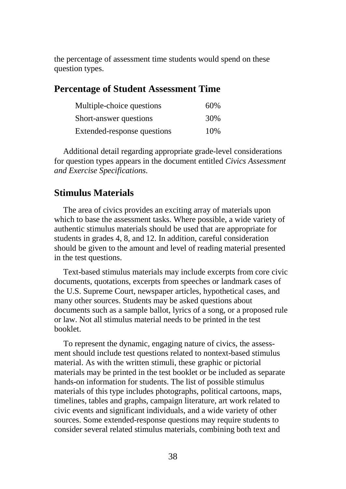the percentage of assessment time students would spend on these question types.

# **Percentage of Student Assessment Time**

| Multiple-choice questions   | 60% |
|-----------------------------|-----|
| Short-answer questions      | 30% |
| Extended-response questions | 10% |

Additional detail regarding appropriate grade-level considerations for question types appears in the document entitled *Civics Assessment and Exercise Specifications*.

# **Stimulus Materials**

The area of civics provides an exciting array of materials upon which to base the assessment tasks. Where possible, a wide variety of authentic stimulus materials should be used that are appropriate for students in grades 4, 8, and 12. In addition, careful consideration should be given to the amount and level of reading material presented in the test questions.

Text-based stimulus materials may include excerpts from core civic documents, quotations, excerpts from speeches or landmark cases of the U.S. Supreme Court, newspaper articles, hypothetical cases, and many other sources. Students may be asked questions about documents such as a sample ballot, lyrics of a song, or a proposed rule or law. Not all stimulus material needs to be printed in the test booklet.

To represent the dynamic, engaging nature of civics, the assessment should include test questions related to nontext-based stimulus material. As with the written stimuli, these graphic or pictorial materials may be printed in the test booklet or be included as separate hands-on information for students. The list of possible stimulus materials of this type includes photographs, political cartoons, maps, timelines, tables and graphs, campaign literature, art work related to civic events and significant individuals, and a wide variety of other sources. Some extended-response questions may require students to consider several related stimulus materials, combining both text and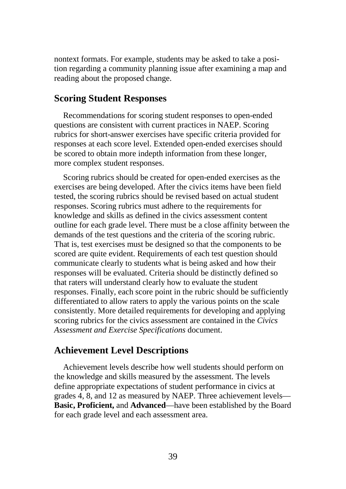nontext formats. For example, students may be asked to take a position regarding a community planning issue after examining a map and reading about the proposed change.

# **Scoring Student Responses**

Recommendations for scoring student responses to open-ended questions are consistent with current practices in NAEP. Scoring rubrics for short-answer exercises have specific criteria provided for responses at each score level. Extended open-ended exercises should be scored to obtain more indepth information from these longer, more complex student responses.

Scoring rubrics should be created for open-ended exercises as the exercises are being developed. After the civics items have been field tested, the scoring rubrics should be revised based on actual student responses. Scoring rubrics must adhere to the requirements for knowledge and skills as defined in the civics assessment content outline for each grade level. There must be a close affinity between the demands of the test questions and the criteria of the scoring rubric. That is, test exercises must be designed so that the components to be scored are quite evident. Requirements of each test question should communicate clearly to students what is being asked and how their responses will be evaluated. Criteria should be distinctly defined so that raters will understand clearly how to evaluate the student responses. Finally, each score point in the rubric should be sufficiently differentiated to allow raters to apply the various points on the scale consistently. More detailed requirements for developing and applying scoring rubrics for the civics assessment are contained in the *Civics Assessment and Exercise Specifications* document.

# **Achievement Level Descriptions**

Achievement levels describe how well students should perform on the knowledge and skills measured by the assessment. The levels define appropriate expectations of student performance in civics at grades 4, 8, and 12 as measured by NAEP. Three achievement levels— **Basic, Proficient,** and **Advanced**—have been established by the Board for each grade level and each assessment area.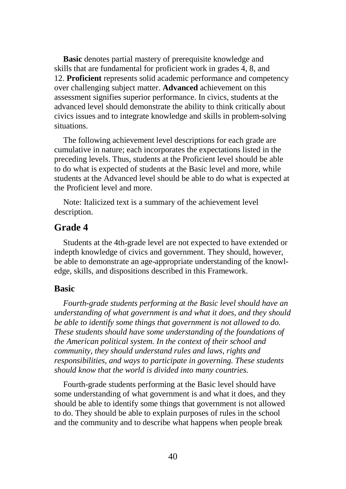**Basic** denotes partial mastery of prerequisite knowledge and skills that are fundamental for proficient work in grades 4, 8, and 12. **Proficient** represents solid academic performance and competency over challenging subject matter. **Advanced** achievement on this assessment signifies superior performance. In civics, students at the advanced level should demonstrate the ability to think critically about civics issues and to integrate knowledge and skills in problem-solving situations.

The following achievement level descriptions for each grade are cumulative in nature; each incorporates the expectations listed in the preceding levels. Thus, students at the Proficient level should be able to do what is expected of students at the Basic level and more, while students at the Advanced level should be able to do what is expected at the Proficient level and more.

Note: Italicized text is a summary of the achievement level description.

# **Grade 4**

Students at the 4th-grade level are not expected to have extended or indepth knowledge of civics and government. They should, however, be able to demonstrate an age-appropriate understanding of the knowledge, skills, and dispositions described in this Framework.

#### **Basic**

*Fourth-grade students performing at the Basic level should have an understanding of what government is and what it does, and they should be able to identify some things that government is not allowed to do. These students should have some understanding of the foundations of the American political system. In the context of their school and community, they should understand rules and laws, rights and responsibilities, and ways to participate in governing. These students should know that the world is divided into many countries.* 

Fourth-grade students performing at the Basic level should have some understanding of what government is and what it does, and they should be able to identify some things that government is not allowed to do. They should be able to explain purposes of rules in the school and the community and to describe what happens when people break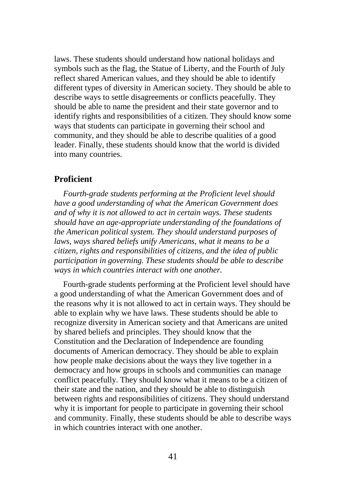laws. These students should understand how national holidays and symbols such as the flag, the Statue of Liberty, and the Fourth of July reflect shared American values, and they should be able to identify different types of diversity in American society. They should be able to describe ways to settle disagreements or conflicts peacefully. They should be able to name the president and their state governor and to identify rights and responsibilities of a citizen. They should know some ways that students can participate in governing their school and community, and they should be able to describe qualities of a good leader. Finally, these students should know that the world is divided into many countries.

#### **Proficient**

*Fourth-grade students performing at the Proficient level should have a good understanding of what the American Government does and of why it is not allowed to act in certain ways. These students should have an age-appropriate understanding of the foundations of the American political system. They should understand purposes of laws, ways shared beliefs unify Americans, what it means to be a citizen, rights and responsibilities of citizens, and the idea of public participation in governing. These students should be able to describe ways in which countries interact with one another.* 

Fourth-grade students performing at the Proficient level should have a good understanding of what the American Government does and of the reasons why it is not allowed to act in certain ways. They should be able to explain why we have laws. These students should be able to recognize diversity in American society and that Americans are united by shared beliefs and principles. They should know that the Constitution and the Declaration of Independence are founding documents of American democracy. They should be able to explain how people make decisions about the ways they live together in a democracy and how groups in schools and communities can manage conflict peacefully. They should know what it means to be a citizen of their state and the nation, and they should be able to distinguish between rights and responsibilities of citizens. They should understand why it is important for people to participate in governing their school and community. Finally, these students should be able to describe ways in which countries interact with one another.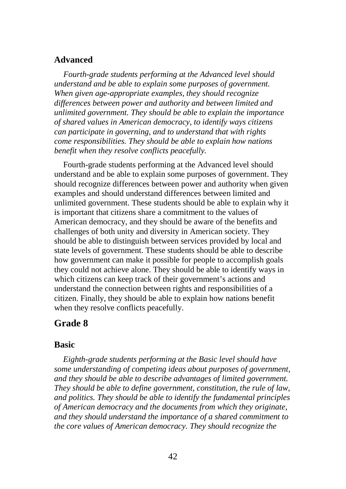### **Advanced**

*Fourth-grade students performing at the Advanced level should understand and be able to explain some purposes of government. When given age-appropriate examples, they should recognize differences between power and authority and between limited and unlimited government. They should be able to explain the importance of shared values in American democracy, to identify ways citizens can participate in governing, and to understand that with rights come responsibilities. They should be able to explain how nations benefit when they resolve conflicts peacefully.* 

Fourth-grade students performing at the Advanced level should understand and be able to explain some purposes of government. They should recognize differences between power and authority when given examples and should understand differences between limited and unlimited government. These students should be able to explain why it is important that citizens share a commitment to the values of American democracy, and they should be aware of the benefits and challenges of both unity and diversity in American society. They should be able to distinguish between services provided by local and state levels of government. These students should be able to describe how government can make it possible for people to accomplish goals they could not achieve alone. They should be able to identify ways in which citizens can keep track of their government's actions and understand the connection between rights and responsibilities of a citizen. Finally, they should be able to explain how nations benefit when they resolve conflicts peacefully.

### **Grade 8**

#### **Basic**

*Eighth-grade students performing at the Basic level should have some understanding of competing ideas about purposes of government, and they should be able to describe advantages of limited government. They should be able to define government, constitution, the rule of law, and politics. They should be able to identify the fundamental principles of American democracy and the documents from which they originate, and they should understand the importance of a shared commitment to the core values of American democracy. They should recognize the*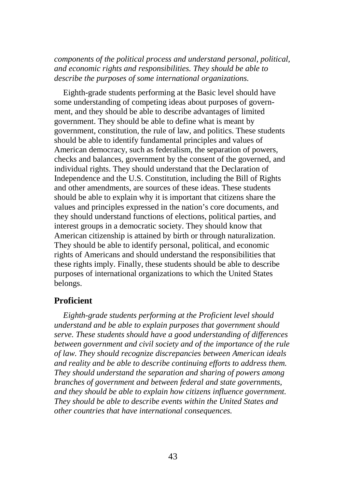*components of the political process and understand personal, political, and economic rights and responsibilities. They should be able to describe the purposes of some international organizations.* 

Eighth-grade students performing at the Basic level should have some understanding of competing ideas about purposes of government, and they should be able to describe advantages of limited government. They should be able to define what is meant by government, constitution, the rule of law, and politics. These students should be able to identify fundamental principles and values of American democracy, such as federalism, the separation of powers, checks and balances, government by the consent of the governed, and individual rights. They should understand that the Declaration of Independence and the U.S. Constitution, including the Bill of Rights and other amendments, are sources of these ideas. These students should be able to explain why it is important that citizens share the values and principles expressed in the nation's core documents, and they should understand functions of elections, political parties, and interest groups in a democratic society. They should know that American citizenship is attained by birth or through naturalization. They should be able to identify personal, political, and economic rights of Americans and should understand the responsibilities that these rights imply. Finally, these students should be able to describe purposes of international organizations to which the United States belongs.

### **Proficient**

*Eighth-grade students performing at the Proficient level should understand and be able to explain purposes that government should serve. These students should have a good understanding of differences between government and civil society and of the importance of the rule of law. They should recognize discrepancies between American ideals and reality and be able to describe continuing efforts to address them. They should understand the separation and sharing of powers among branches of government and between federal and state governments, and they should be able to explain how citizens influence government. They should be able to describe events within the United States and other countries that have international consequences.*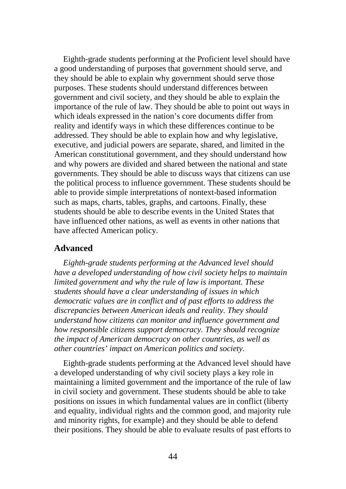Eighth-grade students performing at the Proficient level should have a good understanding of purposes that government should serve, and they should be able to explain why government should serve those purposes. These students should understand differences between government and civil society, and they should be able to explain the importance of the rule of law. They should be able to point out ways in which ideals expressed in the nation's core documents differ from reality and identify ways in which these differences continue to be addressed. They should be able to explain how and why legislative, executive, and judicial powers are separate, shared, and limited in the American constitutional government, and they should understand how and why powers are divided and shared between the national and state governments. They should be able to discuss ways that citizens can use the political process to influence government. These students should be able to provide simple interpretations of nontext-based information such as maps, charts, tables, graphs, and cartoons. Finally, these students should be able to describe events in the United States that have influenced other nations, as well as events in other nations that have affected American policy.

#### **Advanced**

*Eighth-grade students performing at the Advanced level should have a developed understanding of how civil society helps to maintain limited government and why the rule of law is important. These students should have a clear understanding of issues in which democratic values are in conflict and of past efforts to address the discrepancies between American ideals and reality. They should understand how citizens can monitor and influence government and how responsible citizens support democracy. They should recognize the impact of American democracy on other countries, as well as other countries' impact on American politics and society.* 

Eighth-grade students performing at the Advanced level should have a developed understanding of why civil society plays a key role in maintaining a limited government and the importance of the rule of law in civil society and government. These students should be able to take positions on issues in which fundamental values are in conflict (liberty and equality, individual rights and the common good, and majority rule and minority rights, for example) and they should be able to defend their positions. They should be able to evaluate results of past efforts to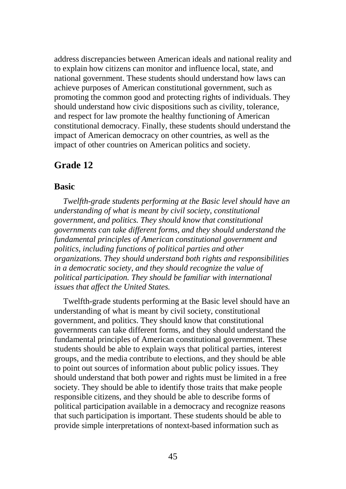address discrepancies between American ideals and national reality and to explain how citizens can monitor and influence local, state, and national government. These students should understand how laws can achieve purposes of American constitutional government, such as promoting the common good and protecting rights of individuals. They should understand how civic dispositions such as civility, tolerance, and respect for law promote the healthy functioning of American constitutional democracy. Finally, these students should understand the impact of American democracy on other countries, as well as the impact of other countries on American politics and society.

# **Grade 12**

### **Basic**

*Twelfth-grade students performing at the Basic level should have an understanding of what is meant by civil society, constitutional government, and politics. They should know that constitutional governments can take different forms, and they should understand the fundamental principles of American constitutional government and politics, including functions of political parties and other organizations. They should understand both rights and responsibilities in a democratic society, and they should recognize the value of political participation. They should be familiar with international issues that affect the United States.* 

Twelfth-grade students performing at the Basic level should have an understanding of what is meant by civil society, constitutional government, and politics. They should know that constitutional governments can take different forms, and they should understand the fundamental principles of American constitutional government. These students should be able to explain ways that political parties, interest groups, and the media contribute to elections, and they should be able to point out sources of information about public policy issues. They should understand that both power and rights must be limited in a free society. They should be able to identify those traits that make people responsible citizens, and they should be able to describe forms of political participation available in a democracy and recognize reasons that such participation is important. These students should be able to provide simple interpretations of nontext-based information such as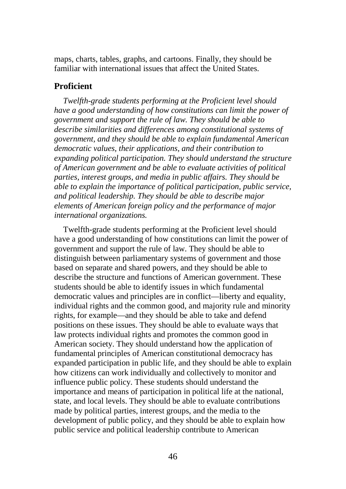maps, charts, tables, graphs, and cartoons. Finally, they should be familiar with international issues that affect the United States.

### **Proficient**

*Twelfth-grade students performing at the Proficient level should have a good understanding of how constitutions can limit the power of government and support the rule of law. They should be able to describe similarities and differences among constitutional systems of government, and they should be able to explain fundamental American democratic values, their applications, and their contribution to expanding political participation. They should understand the structure of American government and be able to evaluate activities of political parties, interest groups, and media in public affairs. They should be able to explain the importance of political participation, public service, and political leadership. They should be able to describe major elements of American foreign policy and the performance of major international organizations.* 

Twelfth-grade students performing at the Proficient level should have a good understanding of how constitutions can limit the power of government and support the rule of law. They should be able to distinguish between parliamentary systems of government and those based on separate and shared powers, and they should be able to describe the structure and functions of American government. These students should be able to identify issues in which fundamental democratic values and principles are in conflict—liberty and equality, individual rights and the common good, and majority rule and minority rights, for example—and they should be able to take and defend positions on these issues. They should be able to evaluate ways that law protects individual rights and promotes the common good in American society. They should understand how the application of fundamental principles of American constitutional democracy has expanded participation in public life, and they should be able to explain how citizens can work individually and collectively to monitor and influence public policy. These students should understand the importance and means of participation in political life at the national, state, and local levels. They should be able to evaluate contributions made by political parties, interest groups, and the media to the development of public policy, and they should be able to explain how public service and political leadership contribute to American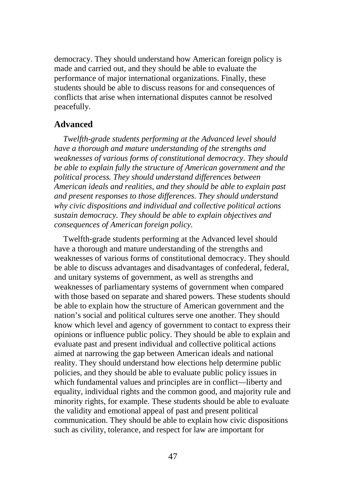democracy. They should understand how American foreign policy is made and carried out, and they should be able to evaluate the performance of major international organizations. Finally, these students should be able to discuss reasons for and consequences of conflicts that arise when international disputes cannot be resolved peacefully.

#### **Advanced**

*Twelfth-grade students performing at the Advanced level should have a thorough and mature understanding of the strengths and weaknesses of various forms of constitutional democracy. They should be able to explain fully the structure of American government and the political process. They should understand differences between American ideals and realities, and they should be able to explain past and present responses to those differences. They should understand why civic dispositions and individual and collective political actions sustain democracy. They should be able to explain objectives and consequences of American foreign policy.* 

Twelfth-grade students performing at the Advanced level should have a thorough and mature understanding of the strengths and weaknesses of various forms of constitutional democracy. They should be able to discuss advantages and disadvantages of confederal, federal, and unitary systems of government, as well as strengths and weaknesses of parliamentary systems of government when compared with those based on separate and shared powers. These students should be able to explain how the structure of American government and the nation's social and political cultures serve one another. They should know which level and agency of government to contact to express their opinions or influence public policy. They should be able to explain and evaluate past and present individual and collective political actions aimed at narrowing the gap between American ideals and national reality. They should understand how elections help determine public policies, and they should be able to evaluate public policy issues in which fundamental values and principles are in conflict—liberty and equality, individual rights and the common good, and majority rule and minority rights, for example. These students should be able to evaluate the validity and emotional appeal of past and present political communication. They should be able to explain how civic dispositions such as civility, tolerance, and respect for law are important for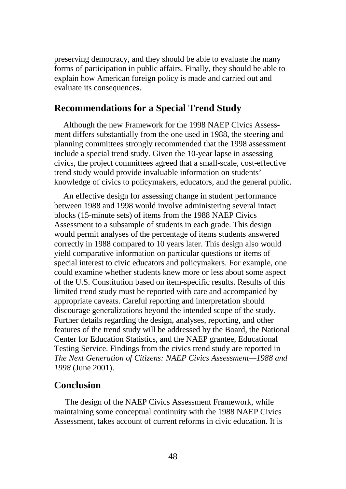preserving democracy, and they should be able to evaluate the many forms of participation in public affairs. Finally, they should be able to explain how American foreign policy is made and carried out and evaluate its consequences.

# **Recommendations for a Special Trend Study**

Although the new Framework for the 1998 NAEP Civics Assessment differs substantially from the one used in 1988, the steering and planning committees strongly recommended that the 1998 assessment include a special trend study. Given the 10-year lapse in assessing civics, the project committees agreed that a small-scale, cost-effective trend study would provide invaluable information on students' knowledge of civics to policymakers, educators, and the general public.

An effective design for assessing change in student performance between 1988 and 1998 would involve administering several intact blocks (15-minute sets) of items from the 1988 NAEP Civics Assessment to a subsample of students in each grade. This design would permit analyses of the percentage of items students answered correctly in 1988 compared to 10 years later. This design also would yield comparative information on particular questions or items of special interest to civic educators and policymakers. For example, one could examine whether students knew more or less about some aspect of the U.S. Constitution based on item-specific results. Results of this limited trend study must be reported with care and accompanied by appropriate caveats. Careful reporting and interpretation should discourage generalizations beyond the intended scope of the study. Further details regarding the design, analyses, reporting, and other features of the trend study will be addressed by the Board, the National Center for Education Statistics, and the NAEP grantee, Educational Testing Service. Findings from the civics trend study are reported in *The Next Generation of Citizens: NAEP Civics Assessment—1988 and 1998* (June 2001).

# **Conclusion**

The design of the NAEP Civics Assessment Framework, while maintaining some conceptual continuity with the 1988 NAEP Civics Assessment, takes account of current reforms in civic education. It is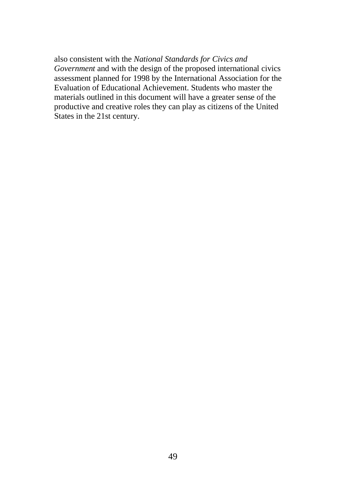also consistent with the *National Standards for Civics and Government* and with the design of the proposed international civics assessment planned for 1998 by the International Association for the Evaluation of Educational Achievement. Students who master the materials outlined in this document will have a greater sense of the productive and creative roles they can play as citizens of the United States in the 21st century.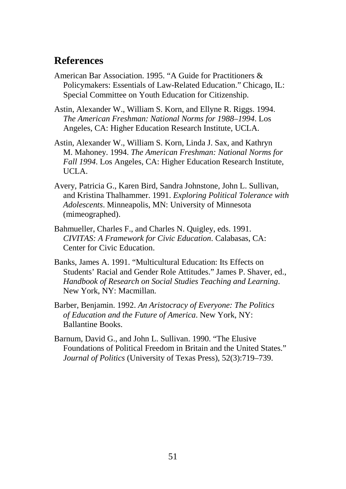# **References**

- American Bar Association. 1995. "A Guide for Practitioners & Policymakers: Essentials of Law-Related Education." Chicago, IL: Special Committee on Youth Education for Citizenship.
- Astin, Alexander W., William S. Korn, and Ellyne R. Riggs. 1994. *The American Freshman: National Norms for 1988–1994*. Los Angeles, CA: Higher Education Research Institute, UCLA.
- Astin, Alexander W., William S. Korn, Linda J. Sax, and Kathryn M. Mahoney. 1994. *The American Freshman: National Norms for Fall 1994*. Los Angeles, CA: Higher Education Research Institute, UCLA.
- Avery, Patricia G., Karen Bird, Sandra Johnstone, John L. Sullivan, and Kristina Thalhammer. 1991. *Exploring Political Tolerance with Adolescents*. Minneapolis, MN: University of Minnesota (mimeographed).
- Bahmueller, Charles F., and Charles N. Quigley, eds. 1991. *CIVITAS: A Framework for Civic Education*. Calabasas, CA: Center for Civic Education.
- Banks, James A. 1991. "Multicultural Education: Its Effects on Students' Racial and Gender Role Attitudes." James P. Shaver, ed., *Handbook of Research on Social Studies Teaching and Learning*. New York, NY: Macmillan.
- Barber, Benjamin. 1992. *An Aristocracy of Everyone: The Politics of Education and the Future of America*. New York, NY: Ballantine Books.
- Barnum, David G., and John L. Sullivan. 1990. "The Elusive Foundations of Political Freedom in Britain and the United States." *Journal of Politics* (University of Texas Press), 52(3):719–739.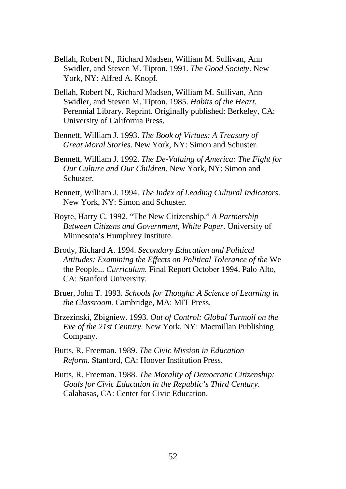- Bellah, Robert N., Richard Madsen, William M. Sullivan, Ann Swidler, and Steven M. Tipton. 1991. *The Good Society*. New York, NY: Alfred A. Knopf.
- Bellah, Robert N., Richard Madsen, William M. Sullivan, Ann Swidler, and Steven M. Tipton. 1985. *Habits of the Heart*. Perennial Library. Reprint. Originally published: Berkeley, CA: University of California Press.
- Bennett, William J. 1993. *The Book of Virtues: A Treasury of Great Moral Stories*. New York, NY: Simon and Schuster.
- Bennett, William J. 1992. *The De-Valuing of America: The Fight for Our Culture and Our Children*. New York, NY: Simon and Schuster.
- Bennett, William J. 1994. *The Index of Leading Cultural Indicators*. New York, NY: Simon and Schuster.
- Boyte, Harry C. 1992. "The New Citizenship." *A Partnership Between Citizens and Government, White Paper.* University of Minnesota's Humphrey Institute.
- Brody, Richard A. 1994. *Secondary Education and Political Attitudes: Examining the Effects on Political Tolerance of the* We the People... *Curriculum.* Final Report October 1994. Palo Alto, CA: Stanford University.
- Bruer, John T. 1993. *Schools for Thought: A Science of Learning in the Classroom.* Cambridge, MA: MIT Press.
- Brzezinski, Zbigniew. 1993. *Out of Control: Global Turmoil on the Eve of the 21st Century*. New York, NY: Macmillan Publishing Company.
- Butts, R. Freeman. 1989. *The Civic Mission in Education Reform.* Stanford, CA: Hoover Institution Press.
- Butts, R. Freeman. 1988. *The Morality of Democratic Citizenship: Goals for Civic Education in the Republic's Third Century*. Calabasas, CA: Center for Civic Education.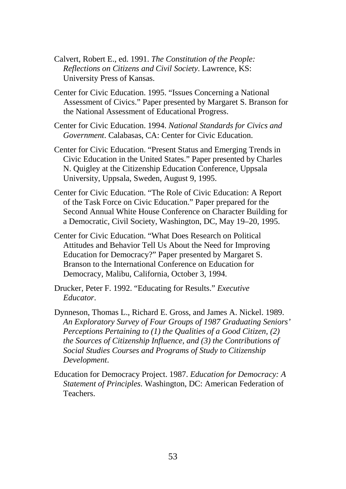- Calvert, Robert E., ed. 1991. *The Constitution of the People: Reflections on Citizens and Civil Society*. Lawrence, KS: University Press of Kansas.
- Center for Civic Education. 1995. "Issues Concerning a National Assessment of Civics." Paper presented by Margaret S. Branson for the National Assessment of Educational Progress.
- Center for Civic Education. 1994. *National Standards for Civics and Government*. Calabasas, CA: Center for Civic Education.
- Center for Civic Education. "Present Status and Emerging Trends in Civic Education in the United States." Paper presented by Charles N. Quigley at the Citizenship Education Conference, Uppsala University, Uppsala, Sweden, August 9, 1995.
- Center for Civic Education. "The Role of Civic Education: A Report of the Task Force on Civic Education." Paper prepared for the Second Annual White House Conference on Character Building for a Democratic, Civil Society, Washington, DC, May 19–20, 1995.
- Center for Civic Education. "What Does Research on Political Attitudes and Behavior Tell Us About the Need for Improving Education for Democracy?" Paper presented by Margaret S. Branson to the International Conference on Education for Democracy, Malibu, California, October 3, 1994.
- Drucker, Peter F. 1992. "Educating for Results." *Executive Educator*.
- Dynneson, Thomas L., Richard E. Gross, and James A. Nickel. 1989. *An Exploratory Survey of Four Groups of 1987 Graduating Seniors' Perceptions Pertaining to (1) the Qualities of a Good Citizen, (2) the Sources of Citizenship Influence, and (3) the Contributions of Social Studies Courses and Programs of Study to Citizenship Development*.
- Education for Democracy Project. 1987. *Education for Democracy: A Statement of Principles*. Washington, DC: American Federation of Teachers.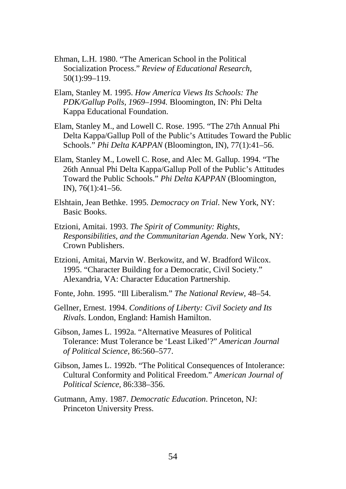- Ehman, L.H. 1980. "The American School in the Political Socialization Process." *Review of Educational Research,* 50(1):99–119.
- Elam, Stanley M. 1995. *How America Views Its Schools: The PDK/Gallup Polls, 1969–1994.* Bloomington, IN: Phi Delta Kappa Educational Foundation.
- Elam, Stanley M., and Lowell C. Rose. 1995. "The 27th Annual Phi Delta Kappa/Gallup Poll of the Public's Attitudes Toward the Public Schools." *Phi Delta KAPPAN* (Bloomington, IN), 77(1):41–56.
- Elam, Stanley M., Lowell C. Rose, and Alec M. Gallup. 1994. "The 26th Annual Phi Delta Kappa/Gallup Poll of the Public's Attitudes Toward the Public Schools." *Phi Delta KAPPAN* (Bloomington, IN), 76(1):41–56.
- Elshtain, Jean Bethke. 1995. *Democracy on Trial*. New York, NY: Basic Books.
- Etzioni, Amitai. 1993. *The Spirit of Community: Rights, Responsibilities, and the Communitarian Agenda*. New York, NY: Crown Publishers.
- Etzioni, Amitai, Marvin W. Berkowitz, and W. Bradford Wilcox. 1995. "Character Building for a Democratic, Civil Society." Alexandria, VA: Character Education Partnership.
- Fonte, John. 1995. "Ill Liberalism." *The National Review,* 48–54.
- Gellner, Ernest. 1994. *Conditions of Liberty: Civil Society and Its Rivals*. London, England: Hamish Hamilton.
- Gibson, James L. 1992a. "Alternative Measures of Political Tolerance: Must Tolerance be 'Least Liked'?" *American Journal of Political Science,* 86:560–577.
- Gibson, James L. 1992b. "The Political Consequences of Intolerance: Cultural Conformity and Political Freedom." *American Journal of Political Science,* 86:338–356.
- Gutmann, Amy. 1987. *Democratic Education*. Princeton, NJ: Princeton University Press.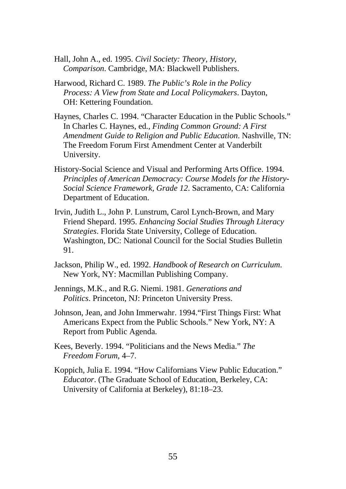- Hall, John A., ed. 1995. *Civil Society: Theory, History, Comparison*. Cambridge, MA: Blackwell Publishers.
- Harwood, Richard C. 1989. *The Public's Role in the Policy Process: A View from State and Local Policymakers*. Dayton, OH: Kettering Foundation.
- Haynes, Charles C. 1994. "Character Education in the Public Schools." In Charles C. Haynes, ed., *Finding Common Ground: A First Amendment Guide to Religion and Public Education*. Nashville, TN: The Freedom Forum First Amendment Center at Vanderbilt University.
- History-Social Science and Visual and Performing Arts Office. 1994. *Principles of American Democracy: Course Models for the History-Social Science Framework, Grade 12*. Sacramento, CA: California Department of Education.
- Irvin, Judith L., John P. Lunstrum, Carol Lynch-Brown, and Mary Friend Shepard. 1995. *Enhancing Social Studies Through Literacy Strategies*. Florida State University, College of Education. Washington, DC: National Council for the Social Studies Bulletin 91.
- Jackson, Philip W., ed. 1992. *Handbook of Research on Curriculum*. New York, NY: Macmillan Publishing Company.
- Jennings, M.K., and R.G. Niemi. 1981. *Generations and Politics*. Princeton, NJ: Princeton University Press.
- Johnson, Jean, and John Immerwahr. 1994."First Things First: What Americans Expect from the Public Schools." New York, NY: A Report from Public Agenda.
- Kees, Beverly. 1994. "Politicians and the News Media." *The Freedom Forum,* 4–7.
- Koppich, Julia E. 1994. "How Californians View Public Education." *Educator*. (The Graduate School of Education, Berkeley, CA: University of California at Berkeley), 81:18–23.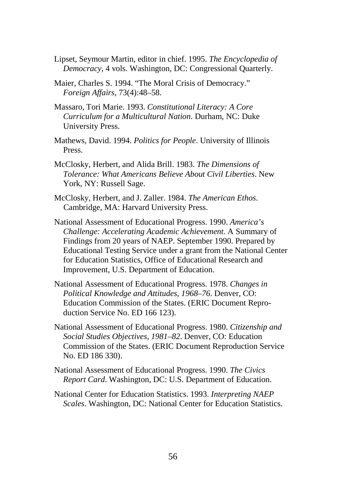- Lipset, Seymour Martin, editor in chief. 1995. *The Encyclopedia of Democracy,* 4 vols. Washington, DC: Congressional Quarterly.
- Maier, Charles S. 1994. "The Moral Crisis of Democracy." *Foreign Affairs,* 73(4):48–58.
- Massaro, Tori Marie. 1993. *Constitutional Literacy: A Core Curriculum for a Multicultural Nation*. Durham, NC: Duke University Press.
- Mathews, David. 1994. *Politics for People*. University of Illinois Press.
- McClosky, Herbert, and Alida Brill. 1983. *The Dimensions of Tolerance: What Americans Believe About Civil Liberties*. New York, NY: Russell Sage.
- McClosky, Herbert, and J. Zaller. 1984. *The American Ethos*. Cambridge, MA: Harvard University Press.
- National Assessment of Educational Progress. 1990. *America's Challenge: Accelerating Academic Achievement*. A Summary of Findings from 20 years of NAEP. September 1990. Prepared by Educational Testing Service under a grant from the National Center for Education Statistics, Office of Educational Research and Improvement, U.S. Department of Education.
- National Assessment of Educational Progress. 1978. *Changes in Political Knowledge and Attitudes, 1968–76*. Denver, CO: Education Commission of the States. (ERIC Document Reproduction Service No. ED 166 123).
- National Assessment of Educational Progress. 1980. *Citizenship and Social Studies Objectives, 1981–82*. Denver, CO: Education Commission of the States. (ERIC Document Reproduction Service No. ED 186 330).
- National Assessment of Educational Progress. 1990. *The Civics Report Card*. Washington, DC: U.S. Department of Education.
- National Center for Education Statistics. 1993. *Interpreting NAEP Scales*. Washington, DC: National Center for Education Statistics.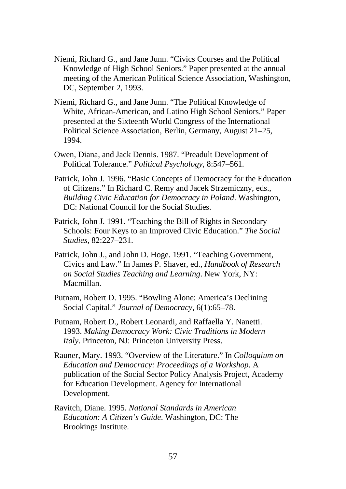- Niemi, Richard G., and Jane Junn. "Civics Courses and the Political Knowledge of High School Seniors." Paper presented at the annual meeting of the American Political Science Association, Washington, DC, September 2, 1993.
- Niemi, Richard G., and Jane Junn. "The Political Knowledge of White, African-American, and Latino High School Seniors." Paper presented at the Sixteenth World Congress of the International Political Science Association, Berlin, Germany, August 21–25, 1994.
- Owen, Diana, and Jack Dennis. 1987. "Preadult Development of Political Tolerance." *Political Psychology,* 8:547–561.
- Patrick, John J. 1996. "Basic Concepts of Democracy for the Education of Citizens." In Richard C. Remy and Jacek Strzemiczny, eds., *Building Civic Education for Democracy in Poland*. Washington, DC: National Council for the Social Studies.
- Patrick, John J. 1991. "Teaching the Bill of Rights in Secondary Schools: Four Keys to an Improved Civic Education." *The Social Studies,* 82:227–231.
- Patrick, John J., and John D. Hoge. 1991. "Teaching Government, Civics and Law." In James P. Shaver, ed., *Handbook of Research on Social Studies Teaching and Learning*. New York, NY: Macmillan.
- Putnam, Robert D. 1995. "Bowling Alone: America's Declining Social Capital." *Journal of Democracy,* 6(1):65–78.
- Putnam, Robert D., Robert Leonardi, and Raffaella Y. Nanetti. 1993. *Making Democracy Work: Civic Traditions in Modern Italy*. Princeton, NJ: Princeton University Press.
- Rauner, Mary. 1993. "Overview of the Literature." In *Colloquium on Education and Democracy: Proceedings of a Workshop*. A publication of the Social Sector Policy Analysis Project, Academy for Education Development. Agency for International Development.
- Ravitch, Diane. 1995. *National Standards in American Education: A Citizen's Guide*. Washington, DC: The Brookings Institute.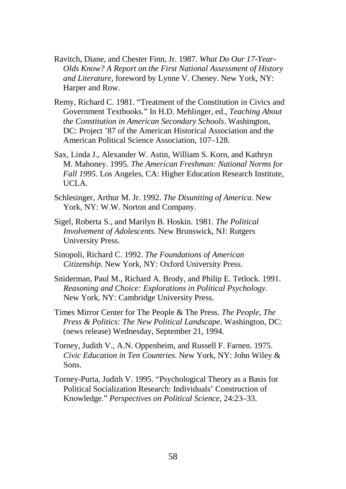- Ravitch, Diane, and Chester Finn, Jr. 1987. *What Do Our 17-Year-Olds Know? A Report on the First National Assessment of History and Literature,* foreword by Lynne V. Cheney. New York, NY: Harper and Row.
- Remy, Richard C. 1981. "Treatment of the Constitution in Civics and Government Textbooks." In H.D. Mehlinger, ed., *Teaching About the Constitution in American Secondary Schools*. Washington, DC: Project '87 of the American Historical Association and the American Political Science Association, 107–128.
- Sax, Linda J., Alexander W. Astin, William S. Korn, and Kathryn M. Mahoney. 1995. *The American Freshman: National Norms for Fall 1995*. Los Angeles, CA: Higher Education Research Institute, UCLA.
- Schlesinger, Arthur M. Jr. 1992. *The Disuniting of America*. New York, NY: W.W. Norton and Company.
- Sigel, Roberta S., and Marilyn B. Hoskin. 1981. *The Political Involvement of Adolescents*. New Brunswick, NJ: Rutgers University Press.
- Sinopoli, Richard C. 1992. *The Foundations of American Citizenship*. New York, NY: Oxford University Press.
- Sniderman, Paul M., Richard A. Brody, and Philip E. Tetlock. 1991. *Reasoning and Choice: Explorations in Political Psychology*. New York, NY: Cambridge University Press.
- Times Mirror Center for The People & The Press. *The People, The Press & Politics: The New Political Landscape*. Washington, DC: (news release) Wednesday, September 21, 1994.
- Torney, Judith V., A.N. Oppenheim, and Russell F. Farnen. 1975. *Civic Education in Ten Countries*. New York, NY: John Wiley & Sons.
- Torney-Purta, Judith V. 1995. "Psychological Theory as a Basis for Political Socialization Research: Individuals' Construction of Knowledge." *Perspectives on Political Science,* 24:23–33.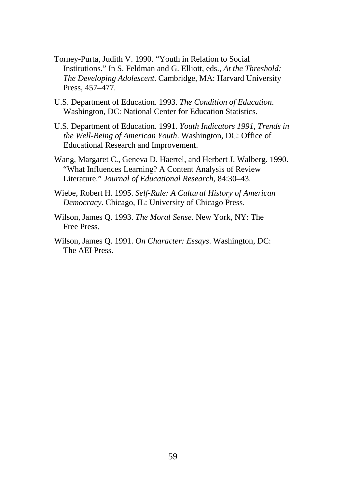- Torney-Purta, Judith V. 1990. "Youth in Relation to Social Institutions." In S. Feldman and G. Elliott, eds., *At the Threshold: The Developing Adolescent*. Cambridge, MA: Harvard University Press, 457–477.
- U.S. Department of Education. 1993. *The Condition of Education*. Washington, DC: National Center for Education Statistics.
- U.S. Department of Education. 1991. *Youth Indicators 1991, Trends in the Well-Being of American Youth*. Washington, DC: Office of Educational Research and Improvement.
- Wang, Margaret C., Geneva D. Haertel, and Herbert J. Walberg. 1990. "What Influences Learning? A Content Analysis of Review Literature." *Journal of Educational Research,* 84:30–43.
- Wiebe, Robert H. 1995. *Self-Rule: A Cultural History of American Democracy*. Chicago, IL: University of Chicago Press.
- Wilson, James Q. 1993. *The Moral Sense*. New York, NY: The Free Press.
- Wilson, James Q. 1991. *On Character: Essays*. Washington, DC: The AEI Press.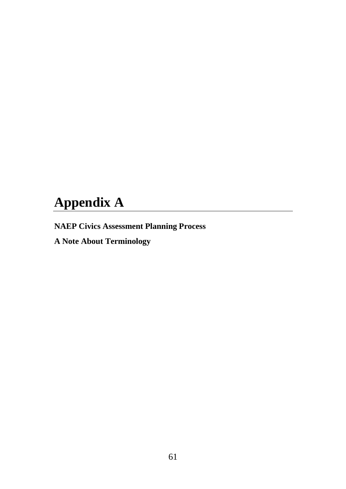# **Appendix A**

**NAEP Civics Assessment Planning Process**

**A Note About Terminology**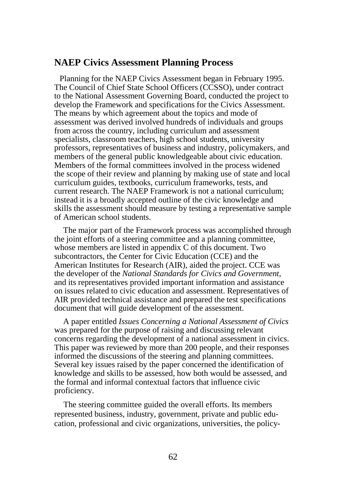# **NAEP Civics Assessment Planning Process**

Planning for the NAEP Civics Assessment began in February 1995. The Council of Chief State School Officers (CCSSO), under contract to the National Assessment Governing Board, conducted the project to develop the Framework and specifications for the Civics Assessment. The means by which agreement about the topics and mode of assessment was derived involved hundreds of individuals and groups from across the country, including curriculum and assessment specialists, classroom teachers, high school students, university professors, representatives of business and industry, policymakers, and members of the general public knowledgeable about civic education. Members of the formal committees involved in the process widened the scope of their review and planning by making use of state and local curriculum guides, textbooks, curriculum frameworks, tests, and current research. The NAEP Framework is not a national curriculum; instead it is a broadly accepted outline of the civic knowledge and skills the assessment should measure by testing a representative sample of American school students.

The major part of the Framework process was accomplished through the joint efforts of a steering committee and a planning committee, whose members are listed in appendix C of this document. Two subcontractors, the Center for Civic Education (CCE) and the American Institutes for Research (AIR), aided the project. CCE was the developer of the *National Standards for Civics and Government,* and its representatives provided important information and assistance on issues related to civic education and assessment. Representatives of AIR provided technical assistance and prepared the test specifications document that will guide development of the assessment.

A paper entitled *Issues Concerning a National Assessment of Civics* was prepared for the purpose of raising and discussing relevant concerns regarding the development of a national assessment in civics. This paper was reviewed by more than 200 people, and their responses informed the discussions of the steering and planning committees. Several key issues raised by the paper concerned the identification of knowledge and skills to be assessed, how both would be assessed, and the formal and informal contextual factors that influence civic proficiency.

The steering committee guided the overall efforts. Its members represented business, industry, government, private and public education, professional and civic organizations, universities, the policy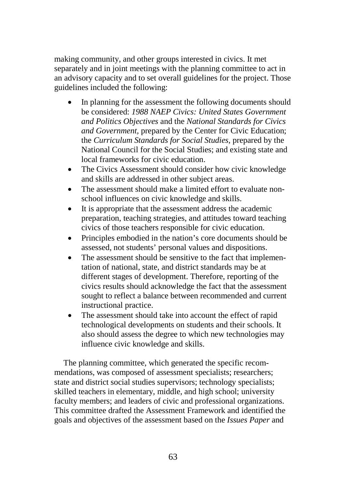making community, and other groups interested in civics. It met separately and in joint meetings with the planning committee to act in an advisory capacity and to set overall guidelines for the project. Those guidelines included the following:

- In planning for the assessment the following documents should be considered: *1988 NAEP Civics: United States Government and Politics Objectives* and the *National Standards for Civics and Government,* prepared by the Center for Civic Education; the *Curriculum Standards for Social Studies,* prepared by the National Council for the Social Studies; and existing state and local frameworks for civic education.
- The Civics Assessment should consider how civic knowledge and skills are addressed in other subject areas.
- The assessment should make a limited effort to evaluate nonschool influences on civic knowledge and skills.
- It is appropriate that the assessment address the academic preparation, teaching strategies, and attitudes toward teaching civics of those teachers responsible for civic education.
- Principles embodied in the nation's core documents should be assessed, not students' personal values and dispositions.
- The assessment should be sensitive to the fact that implementation of national, state, and district standards may be at different stages of development. Therefore, reporting of the civics results should acknowledge the fact that the assessment sought to reflect a balance between recommended and current instructional practice.
- The assessment should take into account the effect of rapid technological developments on students and their schools. It also should assess the degree to which new technologies may influence civic knowledge and skills.

The planning committee, which generated the specific recommendations, was composed of assessment specialists; researchers; state and district social studies supervisors; technology specialists; skilled teachers in elementary, middle, and high school; university faculty members; and leaders of civic and professional organizations. This committee drafted the Assessment Framework and identified the goals and objectives of the assessment based on the *Issues Paper* and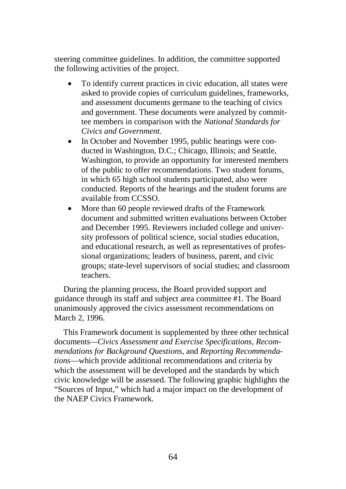steering committee guidelines. In addition, the committee supported the following activities of the project.

- To identify current practices in civic education, all states were asked to provide copies of curriculum guidelines, frameworks, and assessment documents germane to the teaching of civics and government. These documents were analyzed by committee members in comparison with the *National Standards for Civics and Government*.
- In October and November 1995, public hearings were conducted in Washington, D.C.; Chicago, Illinois; and Seattle, Washington, to provide an opportunity for interested members of the public to offer recommendations. Two student forums, in which 65 high school students participated, also were conducted. Reports of the hearings and the student forums are available from CCSSO.
- More than 60 people reviewed drafts of the Framework document and submitted written evaluations between October and December 1995. Reviewers included college and university professors of political science, social studies education, and educational research, as well as representatives of professional organizations; leaders of business, parent, and civic groups; state-level supervisors of social studies; and classroom teachers.

During the planning process, the Board provided support and guidance through its staff and subject area committee #1. The Board unanimously approved the civics assessment recommendations on March 2, 1996.

This Framework document is supplemented by three other technical documents*—Civics Assessment and Exercise Specifications, Recommendations for Background Questions,* and *Reporting Recommendations*—which provide additional recommendations and criteria by which the assessment will be developed and the standards by which civic knowledge will be assessed. The following graphic highlights the "Sources of Input," which had a major impact on the development of the NAEP Civics Framework.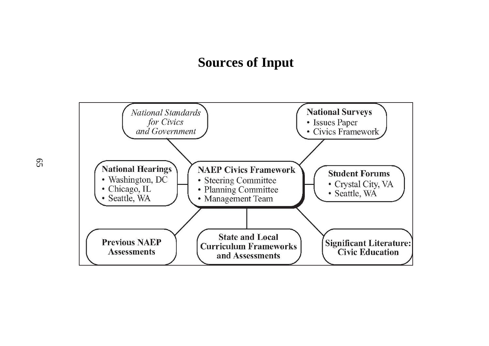# **Sources of Input**

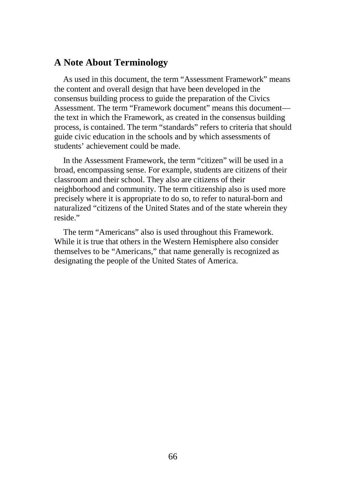# **A Note About Terminology**

As used in this document, the term "Assessment Framework" means the content and overall design that have been developed in the consensus building process to guide the preparation of the Civics Assessment. The term "Framework document" means this document the text in which the Framework, as created in the consensus building process, is contained. The term "standards" refers to criteria that should guide civic education in the schools and by which assessments of students' achievement could be made.

In the Assessment Framework, the term "citizen" will be used in a broad, encompassing sense. For example, students are citizens of their classroom and their school. They also are citizens of their neighborhood and community. The term citizenship also is used more precisely where it is appropriate to do so, to refer to natural-born and naturalized "citizens of the United States and of the state wherein they reside."

The term "Americans" also is used throughout this Framework. While it is true that others in the Western Hemisphere also consider themselves to be "Americans," that name generally is recognized as designating the people of the United States of America.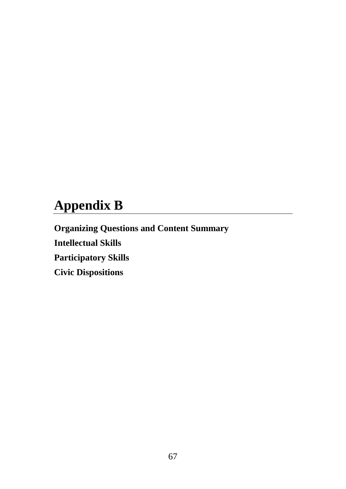# **Appendix B**

**Organizing Questions and Content Summary Intellectual Skills Participatory Skills Civic Dispositions**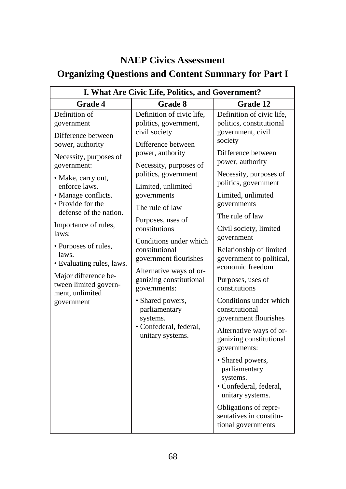# **NAEP Civics Assessment**

# **Organizing Questions and Content Summary for Part I**

| I. What Are Civic Life, Politics, and Government?                                                                                                                                                                                                                                                                                                                                                            |                                                                                                                                                                                                                                                                                                                                                                                                                                                                                                         |                                                                                                                                                                                                                                                                                                                                                                                                                                                                                                                                                                                                                                                                                                  |  |
|--------------------------------------------------------------------------------------------------------------------------------------------------------------------------------------------------------------------------------------------------------------------------------------------------------------------------------------------------------------------------------------------------------------|---------------------------------------------------------------------------------------------------------------------------------------------------------------------------------------------------------------------------------------------------------------------------------------------------------------------------------------------------------------------------------------------------------------------------------------------------------------------------------------------------------|--------------------------------------------------------------------------------------------------------------------------------------------------------------------------------------------------------------------------------------------------------------------------------------------------------------------------------------------------------------------------------------------------------------------------------------------------------------------------------------------------------------------------------------------------------------------------------------------------------------------------------------------------------------------------------------------------|--|
| Grade 4                                                                                                                                                                                                                                                                                                                                                                                                      | Grade 8                                                                                                                                                                                                                                                                                                                                                                                                                                                                                                 | Grade 12                                                                                                                                                                                                                                                                                                                                                                                                                                                                                                                                                                                                                                                                                         |  |
| Definition of<br>government<br>Difference between<br>power, authority<br>Necessity, purposes of<br>government:<br>· Make, carry out,<br>enforce laws.<br>• Manage conflicts.<br>• Provide for the<br>defense of the nation.<br>Importance of rules,<br>laws:<br>· Purposes of rules,<br>laws.<br>• Evaluating rules, laws.<br>Major difference be-<br>tween limited govern-<br>ment, unlimited<br>government | Definition of civic life,<br>politics, government,<br>civil society<br>Difference between<br>power, authority<br>Necessity, purposes of<br>politics, government<br>Limited, unlimited<br>governments<br>The rule of law<br>Purposes, uses of<br>constitutions<br>Conditions under which<br>constitutional<br>government flourishes<br>Alternative ways of or-<br>ganizing constitutional<br>governments:<br>• Shared powers,<br>parliamentary<br>systems.<br>· Confederal, federal,<br>unitary systems. | Definition of civic life,<br>politics, constitutional<br>government, civil<br>society<br>Difference between<br>power, authority<br>Necessity, purposes of<br>politics, government<br>Limited, unlimited<br>governments<br>The rule of law<br>Civil society, limited<br>government<br>Relationship of limited<br>government to political,<br>economic freedom<br>Purposes, uses of<br>constitutions<br>Conditions under which<br>constitutional<br>government flourishes<br>Alternative ways of or-<br>ganizing constitutional<br>governments:<br>· Shared powers,<br>parliamentary<br>systems.<br>· Confederal, federal,<br>unitary systems.<br>Obligations of repre-<br>sentatives in constitu- |  |
|                                                                                                                                                                                                                                                                                                                                                                                                              |                                                                                                                                                                                                                                                                                                                                                                                                                                                                                                         | tional governments                                                                                                                                                                                                                                                                                                                                                                                                                                                                                                                                                                                                                                                                               |  |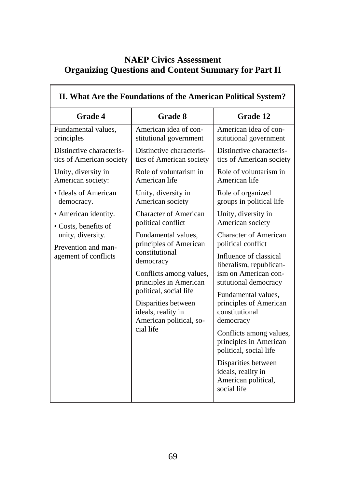# **NAEP Civics Assessment Organizing Questions and Content Summary for Part II**

r

| II. What Are the Foundations of the American Political System?   |                                                                                                                                   |                                                                                                                                                          |
|------------------------------------------------------------------|-----------------------------------------------------------------------------------------------------------------------------------|----------------------------------------------------------------------------------------------------------------------------------------------------------|
| <b>Grade 4</b>                                                   | <b>Grade 8</b>                                                                                                                    | Grade 12                                                                                                                                                 |
| Fundamental values,<br>principles                                | American idea of con-<br>stitutional government                                                                                   | American idea of con-<br>stitutional government                                                                                                          |
| Distinctive characteris-<br>tics of American society             | Distinctive characteris-<br>tics of American society                                                                              | Distinctive characteris-<br>tics of American society                                                                                                     |
| Unity, diversity in<br>American society:                         | Role of voluntarism in<br>American life                                                                                           | Role of voluntarism in<br>American life                                                                                                                  |
| • Ideals of American<br>democracy.                               | Unity, diversity in<br>American society                                                                                           | Role of organized<br>groups in political life                                                                                                            |
| • American identity.<br>• Costs, benefits of                     | <b>Character of American</b><br>political conflict                                                                                | Unity, diversity in<br>American society                                                                                                                  |
| unity, diversity.<br>Prevention and man-<br>agement of conflicts | Fundamental values,<br>principles of American<br>constitutional<br>democracy<br>Conflicts among values,<br>principles in American | <b>Character of American</b><br>political conflict<br>Influence of classical<br>liberalism, republican-<br>ism on American con-<br>stitutional democracy |
|                                                                  | political, social life<br>Disparities between<br>ideals, reality in<br>American political, so-<br>cial life                       | Fundamental values,<br>principles of American<br>constitutional<br>democracy                                                                             |
|                                                                  |                                                                                                                                   | Conflicts among values,<br>principles in American<br>political, social life                                                                              |
|                                                                  |                                                                                                                                   | Disparities between<br>ideals, reality in<br>American political,<br>social life                                                                          |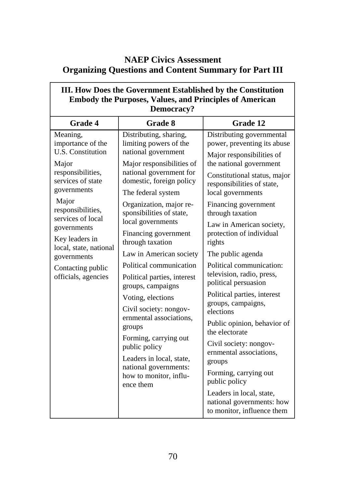# **NAEP Civics Assessment Organizing Questions and Content Summary for Part III**

٦Ī

| III. How Does the Government Established by the Constitution<br><b>Embody the Purposes, Values, and Principles of American</b><br>Democracy?                                                                                                                                                         |                                                                                                                                                                                                                                                                                                                                                                                                                                                                                                                                                                                                                                               |                                                                                                                                                                                                                                                                                                                                                                                                                                                                                                                                                                                                                                                     |  |
|------------------------------------------------------------------------------------------------------------------------------------------------------------------------------------------------------------------------------------------------------------------------------------------------------|-----------------------------------------------------------------------------------------------------------------------------------------------------------------------------------------------------------------------------------------------------------------------------------------------------------------------------------------------------------------------------------------------------------------------------------------------------------------------------------------------------------------------------------------------------------------------------------------------------------------------------------------------|-----------------------------------------------------------------------------------------------------------------------------------------------------------------------------------------------------------------------------------------------------------------------------------------------------------------------------------------------------------------------------------------------------------------------------------------------------------------------------------------------------------------------------------------------------------------------------------------------------------------------------------------------------|--|
| <b>Grade 4</b>                                                                                                                                                                                                                                                                                       | <b>Grade 8</b>                                                                                                                                                                                                                                                                                                                                                                                                                                                                                                                                                                                                                                | Grade 12                                                                                                                                                                                                                                                                                                                                                                                                                                                                                                                                                                                                                                            |  |
| Meaning,<br>importance of the<br><b>U.S. Constitution</b><br>Major<br>responsibilities,<br>services of state<br>governments<br>Major<br>responsibilities,<br>services of local<br>governments<br>Key leaders in<br>local, state, national<br>governments<br>Contacting public<br>officials, agencies | Distributing, sharing,<br>limiting powers of the<br>national government<br>Major responsibilities of<br>national government for<br>domestic, foreign policy<br>The federal system<br>Organization, major re-<br>sponsibilities of state,<br>local governments<br>Financing government<br>through taxation<br>Law in American society<br>Political communication<br>Political parties, interest<br>groups, campaigns<br>Voting, elections<br>Civil society: nongov-<br>ernmental associations,<br>groups<br>Forming, carrying out<br>public policy<br>Leaders in local, state,<br>national governments:<br>how to monitor, influ-<br>ence them | Distributing governmental<br>power, preventing its abuse<br>Major responsibilities of<br>the national government<br>Constitutional status, major<br>responsibilities of state,<br>local governments<br>Financing government<br>through taxation<br>Law in American society,<br>protection of individual<br>rights<br>The public agenda<br>Political communication:<br>television, radio, press,<br>political persuasion<br>Political parties, interest<br>groups, campaigns,<br>elections<br>Public opinion, behavior of<br>the electorate<br>Civil society: nongov-<br>ernmental associations,<br>groups<br>Forming, carrying out<br>public policy |  |
|                                                                                                                                                                                                                                                                                                      |                                                                                                                                                                                                                                                                                                                                                                                                                                                                                                                                                                                                                                               | Leaders in local, state,<br>national governments: how<br>to monitor, influence them                                                                                                                                                                                                                                                                                                                                                                                                                                                                                                                                                                 |  |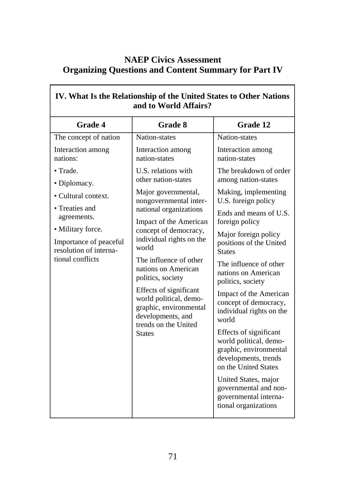# **NAEP Civics Assessment Organizing Questions and Content Summary for Part IV**

 $\Gamma$ 

 $\overline{\mathbf{r}}$ 

| IV. What Is the Relationship of the United States to Other Nations<br>and to World Affairs?                                                                                                                                        |                                                                                                   |                                                                                                                            |  |
|------------------------------------------------------------------------------------------------------------------------------------------------------------------------------------------------------------------------------------|---------------------------------------------------------------------------------------------------|----------------------------------------------------------------------------------------------------------------------------|--|
| <b>Grade 4</b>                                                                                                                                                                                                                     | <b>Grade 8</b>                                                                                    | Grade 12                                                                                                                   |  |
| The concept of nation                                                                                                                                                                                                              | Nation-states                                                                                     | Nation-states                                                                                                              |  |
| Interaction among<br>nations:                                                                                                                                                                                                      | Interaction among<br>nation-states                                                                | Interaction among<br>nation-states                                                                                         |  |
| $\bullet$ Trade.<br>• Diplomacy.                                                                                                                                                                                                   | U.S. relations with<br>other nation-states                                                        | The breakdown of order<br>among nation-states                                                                              |  |
| • Cultural context.                                                                                                                                                                                                                | Major governmental,<br>nongovernmental inter-<br>national organizations<br>Impact of the American | Making, implementing<br>U.S. foreign policy                                                                                |  |
| • Treaties and<br>agreements.                                                                                                                                                                                                      |                                                                                                   | Ends and means of U.S.<br>foreign policy                                                                                   |  |
| • Military force.<br>Importance of peaceful<br>resolution of interna-                                                                                                                                                              | concept of democracy,<br>individual rights on the<br>world                                        | Major foreign policy<br>positions of the United<br><b>States</b>                                                           |  |
| tional conflicts<br>The influence of other<br>nations on American<br>politics, society<br>Effects of significant<br>world political, demo-<br>graphic, environmental<br>developments, and<br>trends on the United<br><b>States</b> | The influence of other<br>nations on American<br>politics, society                                |                                                                                                                            |  |
|                                                                                                                                                                                                                                    |                                                                                                   | Impact of the American<br>concept of democracy,<br>individual rights on the<br>world                                       |  |
|                                                                                                                                                                                                                                    |                                                                                                   | Effects of significant<br>world political, demo-<br>graphic, environmental<br>developments, trends<br>on the United States |  |
|                                                                                                                                                                                                                                    |                                                                                                   | United States, major<br>governmental and non-<br>governmental interna-<br>tional organizations                             |  |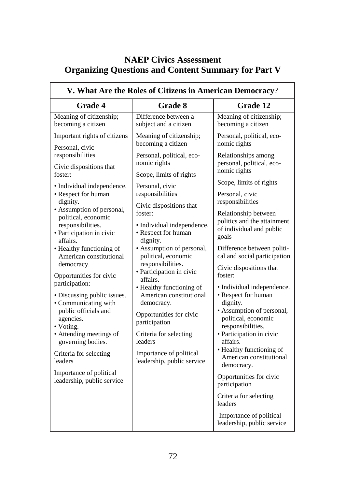# **NAEP Civics Assessment Organizing Questions and Content Summary for Part V**

| V. What Are the Roles of Citizens in American Democracy?                                                                                                                                                                                                                                                                                                |                                                                                                                                                                                                                                                                                                                                  |                                                                                                                                                                                                                                                                                                                                 |
|---------------------------------------------------------------------------------------------------------------------------------------------------------------------------------------------------------------------------------------------------------------------------------------------------------------------------------------------------------|----------------------------------------------------------------------------------------------------------------------------------------------------------------------------------------------------------------------------------------------------------------------------------------------------------------------------------|---------------------------------------------------------------------------------------------------------------------------------------------------------------------------------------------------------------------------------------------------------------------------------------------------------------------------------|
| <b>Grade 4</b>                                                                                                                                                                                                                                                                                                                                          | <b>Grade 8</b>                                                                                                                                                                                                                                                                                                                   | Grade 12                                                                                                                                                                                                                                                                                                                        |
| Meaning of citizenship;<br>becoming a citizen                                                                                                                                                                                                                                                                                                           | Difference between a<br>subject and a citizen                                                                                                                                                                                                                                                                                    | Meaning of citizenship;<br>becoming a citizen                                                                                                                                                                                                                                                                                   |
| Important rights of citizens<br>Personal, civic                                                                                                                                                                                                                                                                                                         | Meaning of citizenship;<br>becoming a citizen                                                                                                                                                                                                                                                                                    | Personal, political, eco-<br>nomic rights                                                                                                                                                                                                                                                                                       |
| responsibilities<br>Civic dispositions that<br>foster:                                                                                                                                                                                                                                                                                                  | Personal, political, eco-<br>nomic rights<br>Scope, limits of rights                                                                                                                                                                                                                                                             | Relationships among<br>personal, political, eco-<br>nomic rights                                                                                                                                                                                                                                                                |
| · Individual independence.<br>• Respect for human<br>dignity.<br>• Assumption of personal,<br>political, economic<br>responsibilities.<br>· Participation in civic<br>affairs.<br>• Healthy functioning of<br>American constitutional<br>democracy.<br>Opportunities for civic<br>participation:<br>• Discussing public issues.<br>• Communicating with | Personal, civic<br>responsibilities<br>Civic dispositions that<br>foster:<br>• Individual independence.<br>• Respect for human<br>dignity.<br>· Assumption of personal,<br>political, economic<br>responsibilities.<br>· Participation in civic<br>affairs.<br>• Healthy functioning of<br>American constitutional<br>democracy. | Scope, limits of rights<br>Personal, civic<br>responsibilities<br>Relationship between<br>politics and the attainment<br>of individual and public<br>goals<br>Difference between politi-<br>cal and social participation<br>Civic dispositions that<br>foster:<br>· Individual independence.<br>• Respect for human<br>dignity. |
| public officials and<br>agencies.<br>• Voting.<br>• Attending meetings of<br>governing bodies.<br>Criteria for selecting<br>leaders                                                                                                                                                                                                                     | Opportunities for civic<br>participation<br>Criteria for selecting<br>leaders<br>Importance of political<br>leadership, public service                                                                                                                                                                                           | • Assumption of personal,<br>political, economic<br>responsibilities.<br>· Participation in civic<br>affairs.<br>• Healthy functioning of<br>American constitutional<br>democracy.                                                                                                                                              |
| Importance of political<br>leadership, public service                                                                                                                                                                                                                                                                                                   |                                                                                                                                                                                                                                                                                                                                  | Opportunities for civic<br>participation<br>Criteria for selecting<br>leaders                                                                                                                                                                                                                                                   |
|                                                                                                                                                                                                                                                                                                                                                         |                                                                                                                                                                                                                                                                                                                                  | Importance of political<br>leadership, public service                                                                                                                                                                                                                                                                           |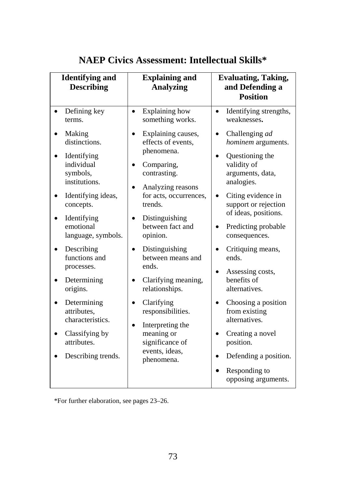| <b>Identifying and</b><br><b>Describing</b>                                                                                                                                                                                                                                                                                       | <b>Explaining and</b><br><b>Analyzing</b>                                                                                                                                                                                                                                                                                                                                                      | <b>Evaluating, Taking,</b><br>and Defending a<br><b>Position</b>                                                                                                                                                                                                                                                                                                                                   |
|-----------------------------------------------------------------------------------------------------------------------------------------------------------------------------------------------------------------------------------------------------------------------------------------------------------------------------------|------------------------------------------------------------------------------------------------------------------------------------------------------------------------------------------------------------------------------------------------------------------------------------------------------------------------------------------------------------------------------------------------|----------------------------------------------------------------------------------------------------------------------------------------------------------------------------------------------------------------------------------------------------------------------------------------------------------------------------------------------------------------------------------------------------|
| Defining key<br>terms.                                                                                                                                                                                                                                                                                                            | Explaining how<br>$\bullet$<br>something works.                                                                                                                                                                                                                                                                                                                                                | Identifying strengths,<br>$\bullet$<br>weaknesses.                                                                                                                                                                                                                                                                                                                                                 |
| Making<br>distinctions.<br>Identifying<br>individual<br>symbols,<br>institutions.<br>Identifying ideas,<br>concepts.<br>Identifying<br>emotional<br>language, symbols.<br>Describing<br>functions and<br>processes.<br>Determining<br>origins.<br>Determining<br>attributes,<br>characteristics.<br>Classifying by<br>attributes. | Explaining causes,<br>effects of events,<br>phenomena.<br>Comparing,<br>contrasting.<br>Analyzing reasons<br>for acts, occurrences,<br>trends.<br>Distinguishing<br>between fact and<br>opinion.<br>Distinguishing<br>$\bullet$<br>between means and<br>ends.<br>Clarifying meaning,<br>relationships.<br>Clarifying<br>responsibilities.<br>Interpreting the<br>meaning or<br>significance of | Challenging ad<br>hominem arguments.<br>Questioning the<br>validity of<br>arguments, data,<br>analogies.<br>Citing evidence in<br>support or rejection<br>of ideas, positions.<br>Predicting probable<br>consequences.<br>Critiquing means,<br>ends.<br>Assessing costs,<br>benefits of<br>alternatives.<br>Choosing a position<br>from existing<br>alternatives.<br>Creating a novel<br>position. |
| Describing trends.                                                                                                                                                                                                                                                                                                                | events, ideas,<br>phenomena.                                                                                                                                                                                                                                                                                                                                                                   | Defending a position.<br>Responding to                                                                                                                                                                                                                                                                                                                                                             |
|                                                                                                                                                                                                                                                                                                                                   |                                                                                                                                                                                                                                                                                                                                                                                                | opposing arguments.                                                                                                                                                                                                                                                                                                                                                                                |

# **NAEP Civics Assessment: Intellectual Skills\***

\*For further elaboration, see pages 23–26.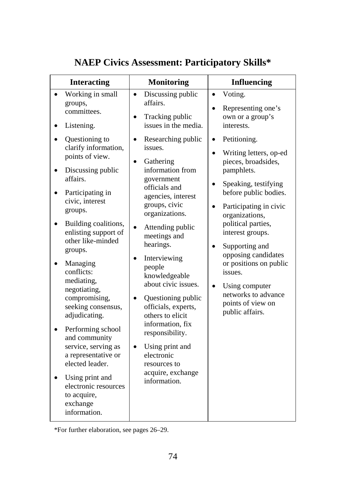| Voting.<br>Working in small<br>Discussing public<br>$\bullet$<br>$\bullet$<br>affairs.<br>groups,<br>Representing one's<br>committees.<br>own or a group's<br>Tracking public<br>issues in the media.<br>interests.<br>Listening.<br>Questioning to<br>Researching public<br>Petitioning.<br>$\bullet$<br>clarify information,<br>issues.<br>Writing letters, op-ed<br>$\bullet$<br>points of view.<br>pieces, broadsides,<br>Gathering<br>information from<br>pamphlets.<br>Discussing public<br>affairs.<br>government<br>Speaking, testifying<br>$\bullet$<br>officials and<br>before public bodies.<br>Participating in<br>agencies, interest<br>civic, interest<br>groups, civic<br>Participating in civic<br>groups.<br>organizations.<br>organizations,<br>political parties,<br>Building coalitions,<br>Attending public<br>enlisting support of<br>interest groups.<br>meetings and<br>other like-minded<br>hearings.<br>Supporting and<br>groups.<br>opposing candidates<br>Interviewing<br>or positions on public<br>Managing<br>people<br>conflicts:<br>issues.<br>knowledgeable<br>mediating,<br>about civic issues.<br>Using computer<br>negotiating,<br>networks to advance<br>compromising,<br>Questioning public<br>points of view on<br>seeking consensus,<br>officials, experts,<br>public affairs.<br>adjudicating.<br>others to elicit<br>information, fix<br>Performing school<br>responsibility.<br>and community<br>service, serving as<br>Using print and<br>electronic<br>a representative or<br>elected leader.<br>resources to<br>acquire, exchange<br>Using print and<br>information.<br>electronic resources<br>to acquire, | <b>Interacting</b> | <b>Monitoring</b> | <b>Influencing</b> |
|-----------------------------------------------------------------------------------------------------------------------------------------------------------------------------------------------------------------------------------------------------------------------------------------------------------------------------------------------------------------------------------------------------------------------------------------------------------------------------------------------------------------------------------------------------------------------------------------------------------------------------------------------------------------------------------------------------------------------------------------------------------------------------------------------------------------------------------------------------------------------------------------------------------------------------------------------------------------------------------------------------------------------------------------------------------------------------------------------------------------------------------------------------------------------------------------------------------------------------------------------------------------------------------------------------------------------------------------------------------------------------------------------------------------------------------------------------------------------------------------------------------------------------------------------------------------------------------------------------------------------------------------------------------|--------------------|-------------------|--------------------|
|                                                                                                                                                                                                                                                                                                                                                                                                                                                                                                                                                                                                                                                                                                                                                                                                                                                                                                                                                                                                                                                                                                                                                                                                                                                                                                                                                                                                                                                                                                                                                                                                                                                           |                    |                   |                    |
| exchange<br>information.                                                                                                                                                                                                                                                                                                                                                                                                                                                                                                                                                                                                                                                                                                                                                                                                                                                                                                                                                                                                                                                                                                                                                                                                                                                                                                                                                                                                                                                                                                                                                                                                                                  |                    |                   |                    |

# **NAEP Civics Assessment: Participatory Skills\***

\*For further elaboration, see pages 26–29.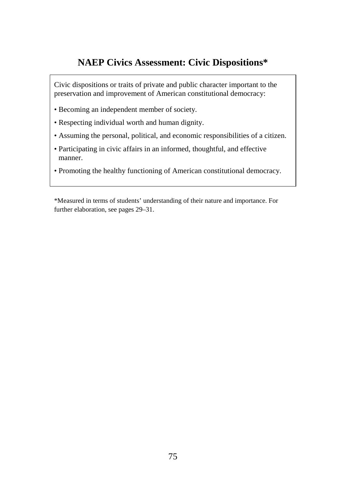# **NAEP Civics Assessment: Civic Dispositions\***

Civic dispositions or traits of private and public character important to the preservation and improvement of American constitutional democracy:

- Becoming an independent member of society.
- Respecting individual worth and human dignity.
- Assuming the personal, political, and economic responsibilities of a citizen.
- Participating in civic affairs in an informed, thoughtful, and effective manner.
- Promoting the healthy functioning of American constitutional democracy.

\*Measured in terms of students' understanding of their nature and importance. For further elaboration, see pages 29–31.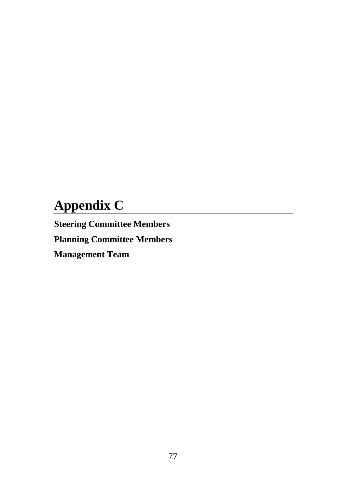# **Appendix C**

**Steering Committee Members Planning Committee Members Management Team**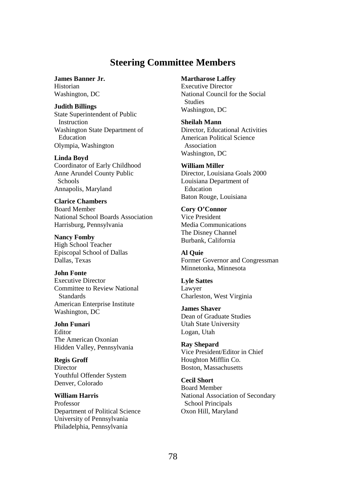# **Steering Committee Members**

**James Banner Jr.** 

Historian Washington, DC

**Judith Billings** 

State Superintendent of Public Instruction Washington State Department of Education Olympia, Washington

**Linda Boyd**  Coordinator of Early Childhood Anne Arundel County Public **Schools** Annapolis, Maryland

**Clarice Chambers**  Board Member National School Boards Association Harrisburg, Pennsylvania

**Nancy Fomby**  High School Teacher Episcopal School of Dallas Dallas, Texas

**John Fonte**  Executive Director Committee to Review National Standards American Enterprise Institute Washington, DC

**John Funari**  Editor The American Oxonian Hidden Valley, Pennsylvania

**Regis Groff Director** Youthful Offender System Denver, Colorado

**William Harris**  Professor Department of Political Science University of Pennsylvania Philadelphia, Pennsylvania

**Martharose Laffey** 

Executive Director National Council for the Social Studies Washington, DC

**Sheilah Mann**  Director, Educational Activities American Political Science Association Washington, DC

**William Miller**  Director, Louisiana Goals 2000 Louisiana Department of Education Baton Rouge, Louisiana

**Cory O'Connor**  Vice President Media Communications The Disney Channel Burbank, California

**Al Quie**  Former Governor and Congressman Minnetonka, Minnesota

**Lyle Sattes**  Lawyer Charleston, West Virginia

**James Shaver**  Dean of Graduate Studies Utah State University Logan, Utah

**Ray Shepard**  Vice President/Editor in Chief Houghton Mifflin Co. Boston, Massachusetts

**Cecil Short**  Board Member National Association of Secondary School Principals Oxon Hill, Maryland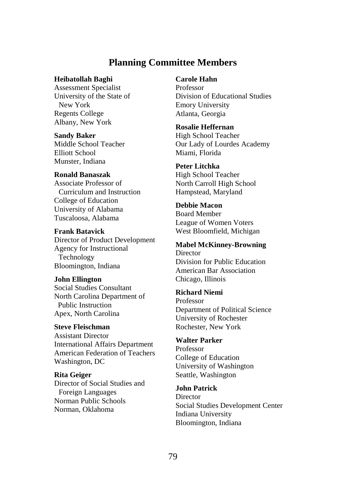# **Planning Committee Members**

## **Heibatollah Baghi**

Assessment Specialist University of the State of New York Regents College Albany, New York

### **Sandy Baker**

Middle School Teacher Elliott School Munster, Indiana

### **Ronald Banaszak**

Associate Professor of Curriculum and Instruction College of Education University of Alabama Tuscaloosa, Alabama

## **Frank Batavick**

Director of Product Development Agency for Instructional Technology Bloomington, Indiana

### **John Ellington**

Social Studies Consultant North Carolina Department of Public Instruction Apex, North Carolina

### **Steve Fleischman**

Assistant Director International Affairs Department American Federation of Teachers Washington, DC

## **Rita Geiger**

Director of Social Studies and Foreign Languages Norman Public Schools Norman, Oklahoma

## **Carole Hahn**

Professor Division of Educational Studies Emory University Atlanta, Georgia

### **Rosalie Heffernan**

High School Teacher Our Lady of Lourdes Academy Miami, Florida

### **Peter Litchka**

High School Teacher North Carroll High School Hampstead, Maryland

# **Debbie Macon**

Board Member League of Women Voters West Bloomfield, Michigan

## **Mabel McKinney-Browning Director** Division for Public Education American Bar Association

# Chicago, Illinois **Richard Niemi**

Professor Department of Political Science University of Rochester Rochester, New York

## **Walter Parker**

Professor College of Education University of Washington Seattle, Washington

## **John Patrick**

**Director** Social Studies Development Center Indiana University Bloomington, Indiana